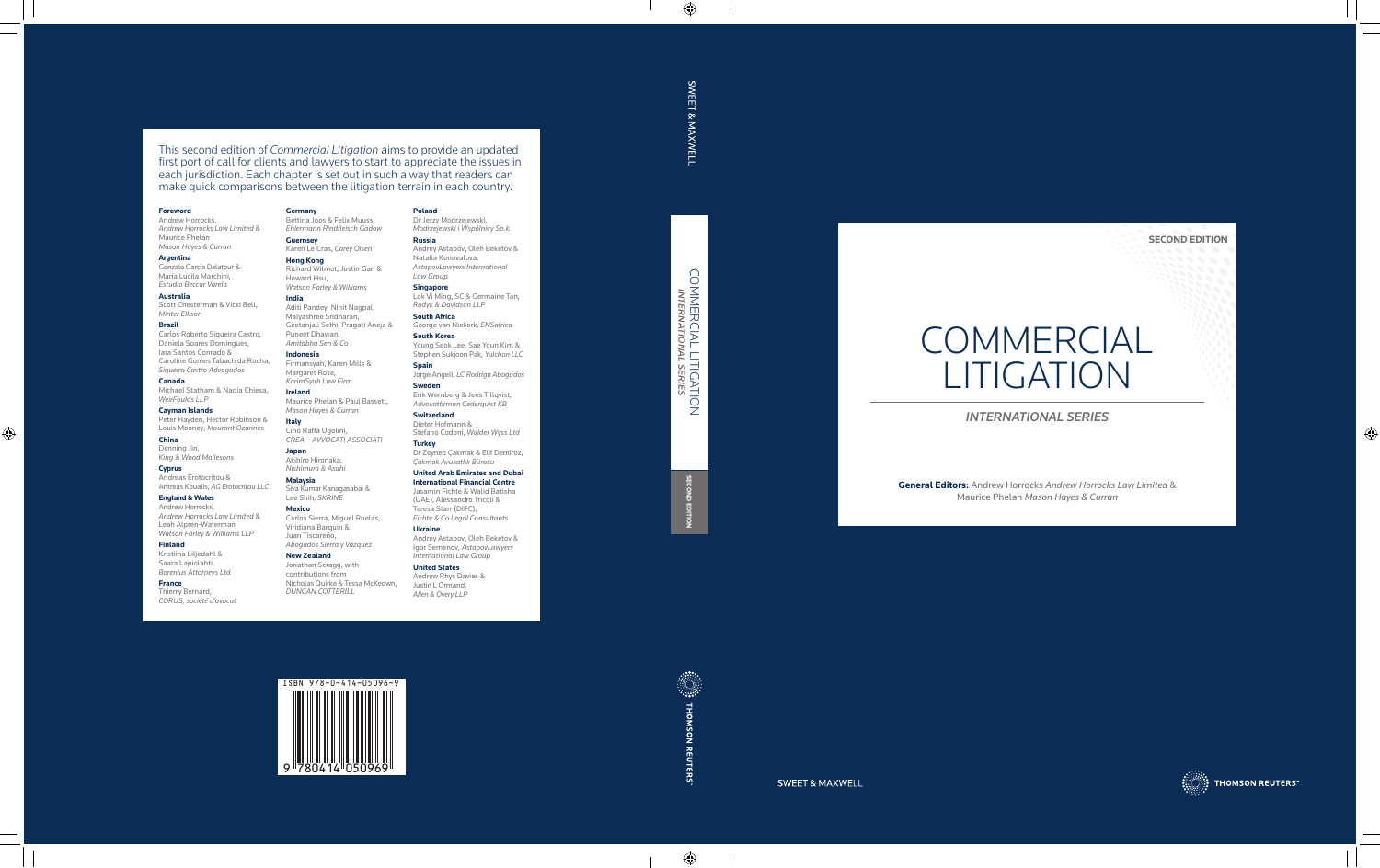



**SWEET & MAXWELL** 

# COMMERCIAL LITIGATION<br>- international series COMMERCIAL LITIGATION *INTERNATIONAL SERIES*

**SECOND EDITION** 

This second edition of *Commercial Litigation* aims to provide an updated first port of call for clients and lawyers to start to appreciate the issues in each jurisdiction. Each chapter is set out in such a way that readers can make quick comparisons between the litigation terrain in each country.

#### **Foreword**

Andrew Horrocks, *Andrew Horrocks Law Limited* & Maurice Phelan *Mason Hayes & Curran*

#### **Argentina**

Gonzalo García Delatour & María Lucila Marchini, *Estudio Beccar Varela*

#### **Australia**

Scott Chesterman & Vicki Bell, *Minter Ellison*

#### **Brazil**

Carlos Roberto Siqueira Castro, Daniela Soares Domingues, Iara Santos Conrado & Caroline Gomes Tabach da Rocha, *Siqueira Castro Advogados*

#### **Canada**

Michael Statham & Nadia Chiesa, *WeirFoulds LLP*

**Cayman Islands** Peter Hayden, Hector Robinson & Louis Mooney, *Mourant Ozannes*

**China** Denning Jin, *King & Wood Mallesons*

#### **Cyprus**

Andreas Erotocritou & Antreas Koualis, *AG Erotocritou LLC*

# **England & Wales**

Andrew Horrocks, *Andrew Horrocks Law Limited* & Leah Alpren-Waterman *Watson Farley & Williams LLP*

#### **Finland**

Kristiina Liljedahl & Saara Lapiolahti, *Borenius Attorneys Ltd*

#### **France**

Thierry Bernard, *CORUS, société d'avocat* **Germany**

Bettina Joos & Felix Muuss, *Ehlermann Rindfleisch Gadow*

**Guernsey**

Karen Le Cras, *Carey Olsen*

**Hong Kong**

Richard Wilmot, Justin Gan &

Howard Hsu,

*Watson Farley & Williams*

**India**

Aditi Pandey, Nihit Nagpal, Malyashree Sridharan, Geetanjali Sethi, Pragati Aneja &

**COMMERCIAL** LITIGATION

Puneet Dhawan, *Amitabha Sen & Co* **Indonesia**

Firmansyah, Karen Mills & Margaret Rose, *KarimSyah Law Firm*

**Ireland**

Maurice Phelan & Paul Bassett, *Mason Hayes & Curran*

**Italy**

Cino Raffa Ugolini, *CREA – AVVOCATI ASSOCIATI*

**Japan** Akihiro Hironaka, *Nishimura & Asahi* **Malaysia**

Siva Kumar Kanagasabai & Lee Shih, *SKRINE* **Mexico**

Carlos Sierra, Miguel Ruelas, Viridiana Barquin & Juan Tiscareño, *Abogados Sierra y Vázquez*

**New Zealand** Jonathan Scragg, with contributions from

Nicholas Quirke & Tessa McKeown,

*DUNCAN COTTERILL*

#### **Poland**

Dr Jerzy Modrzejewski, *Modrzejewski i Wspólnicy Sp.k.*

#### **Russia** Andrey Astapov, Oleh Beketov &

Natalia Konovalova, *AstapovLawyers International Law Group*

**Singapore** Lok Vi Ming, SC & Germaine Tan, *Rodyk & Davidson LLP*

**South Africa** George van Niekerk, *ENSafrica* **South Korea**

Young Seok Lee, Sae Youn Kim & Stephen Sukjoon Pak, *Yulchon LLC*

**Spain** Jorge Angell, *LC Rodrigo Abogados* **Sweden**

Erik Wernberg & Jens Tillqvist, *Advokatfirman Cederquist KB*

**Switzerland** Dieter Hofmann & Stefano Codoni, *Walder Wyss Ltd*

**Turkey** Dr Zeynep Çakmak & Elif Demiröz, *Çakmak Avukatlık Bürosu*

#### **United Arab Emirates and Dubai International Financial Centre**

Jasamin Fichte & Walid Batisha (UAE), Alessandro Tricoli & Teresa Starr (DIFC), *Fichte & Co Legal Consultants*

**Ukraine** Andrey Astapov, Oleh Beketov & Igor Semenov, *AstapovLawyers International Law Group*

#### **United States** Andrew Rhys Davies & Justin L Ormand, *Allen & Overy LLP*

SWEET & MAXWELI

*INTERNATIONAL SERIES*

**General Editors:** Andrew Horrocks *Andrew Horrocks Law Limited* &



**THOMSON REUTERS** 

Maurice Phelan *Mason Hayes & Curran*

**SECOND EDITION**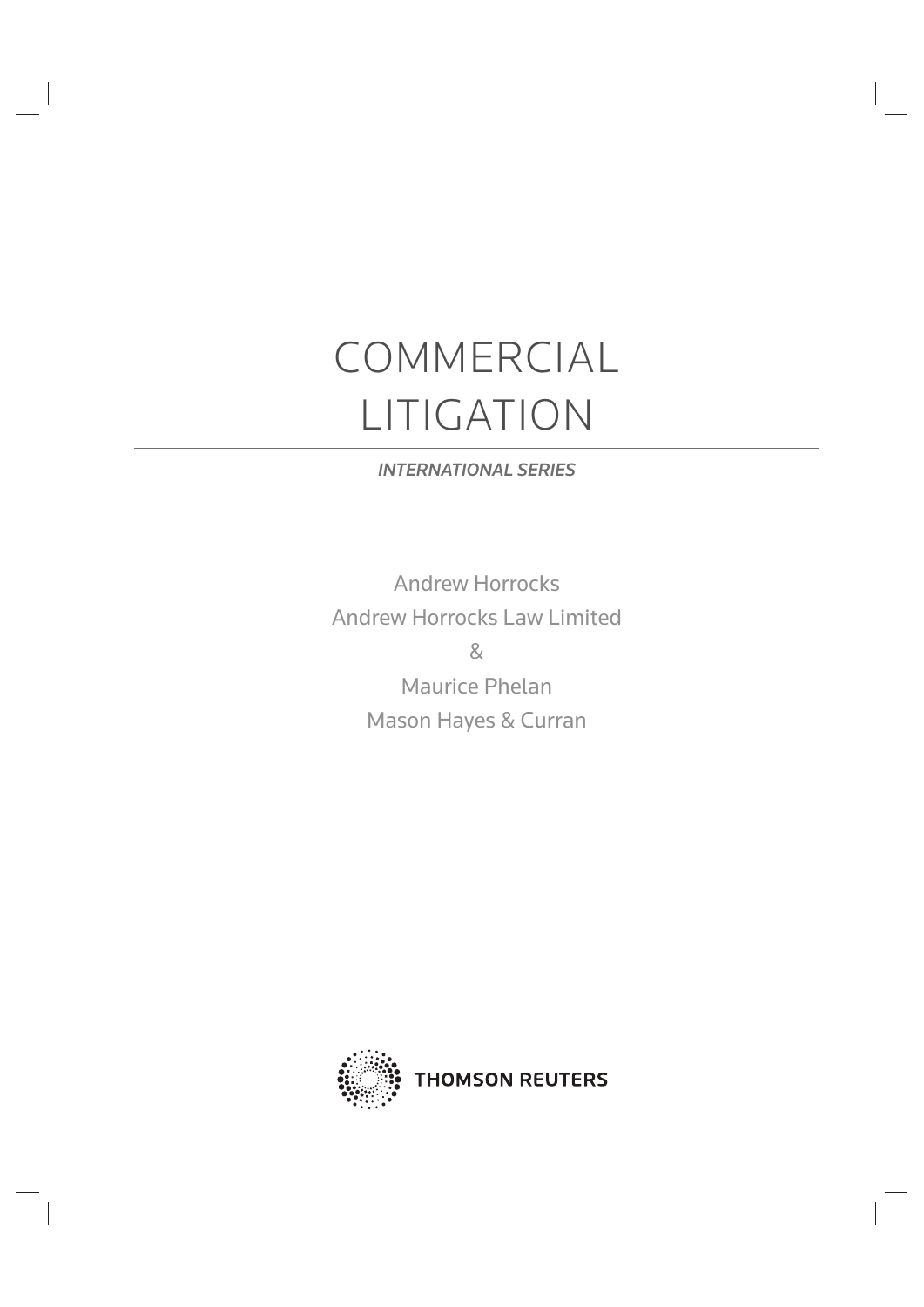# COMMERCIAL LITIGATION

# *INTERNATIONAL SERIES*

Andrew Horrocks Andrew Horrocks Law Limited &

Maurice Phelan Mason Hayes & Curran

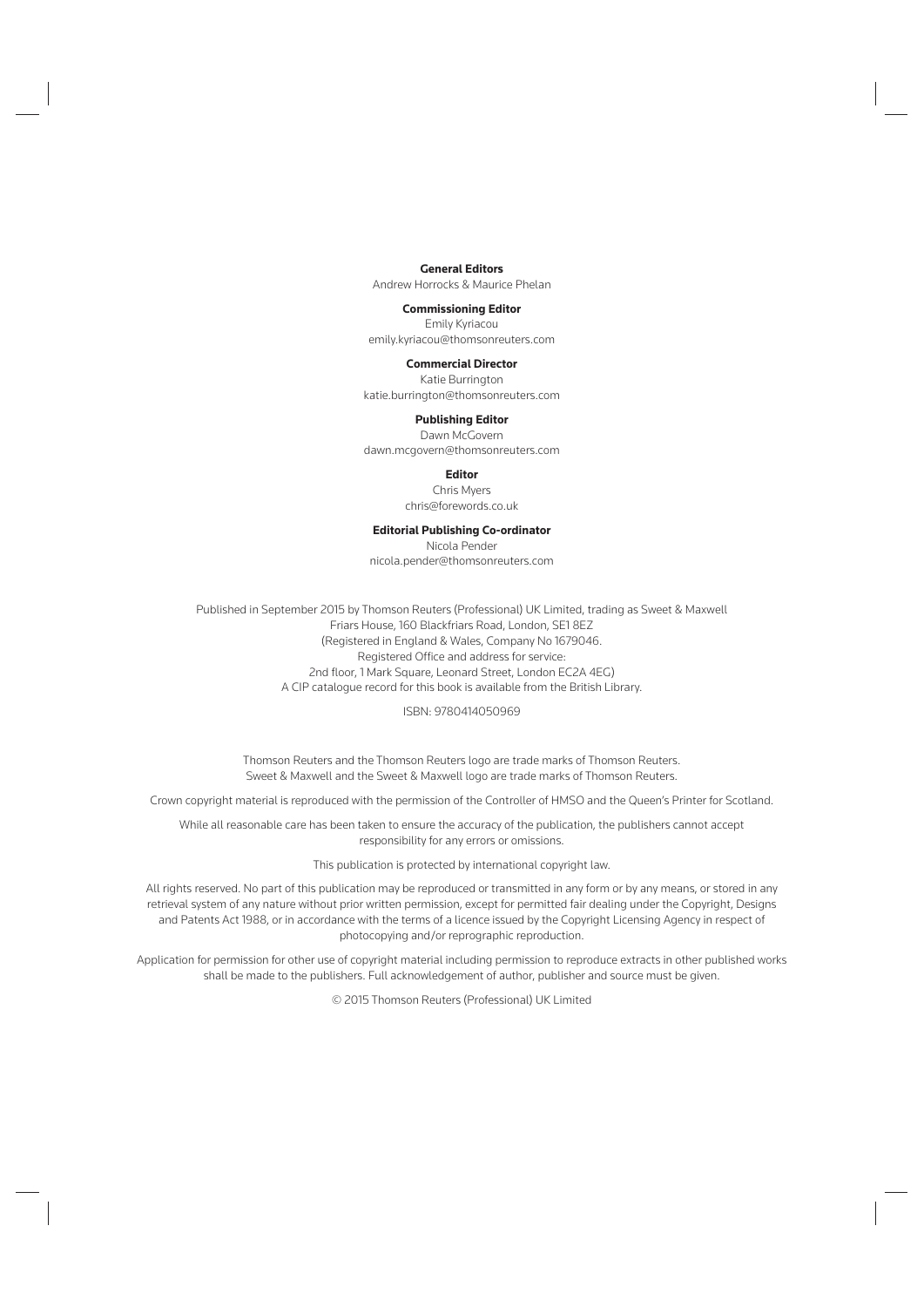#### **General Editors**

Andrew Horrocks & Maurice Phelan

#### **Commissioning Editor**

Emily Kyriacou emily.kyriacou@thomsonreuters.com

#### **Commercial Director**

Katie Burrington katie.burrington@thomsonreuters.com

#### **Publishing Editor**

Dawn McGovern dawn.mcgovern@thomsonreuters.com

#### **Editor**

Chris Myers chris@forewords.co.uk

#### **Editorial Publishing Co-ordinator**

Nicola Pender nicola.pender@thomsonreuters.com

Published in September 2015 by Thomson Reuters (Professional) UK Limited, trading as Sweet & Maxwell Friars House, 160 Blackfriars Road, London, SE1 8EZ (Registered in England & Wales, Company No 1679046. Registered Office and address for service: 2nd floor, 1 Mark Square, Leonard Street, London EC2A 4EG) A CIP catalogue record for this book is available from the British Library.

#### ISBN: 9780414050969

Thomson Reuters and the Thomson Reuters logo are trade marks of Thomson Reuters. Sweet & Maxwell and the Sweet & Maxwell logo are trade marks of Thomson Reuters.

Crown copyright material is reproduced with the permission of the Controller of HMSO and the Queen's Printer for Scotland.

While all reasonable care has been taken to ensure the accuracy of the publication, the publishers cannot accept responsibility for any errors or omissions.

This publication is protected by international copyright law.

All rights reserved. No part of this publication may be reproduced or transmitted in any form or by any means, or stored in any retrieval system of any nature without prior written permission, except for permitted fair dealing under the Copyright, Designs and Patents Act 1988, or in accordance with the terms of a licence issued by the Copyright Licensing Agency in respect of photocopying and/or reprographic reproduction.

Application for permission for other use of copyright material including permission to reproduce extracts in other published works shall be made to the publishers. Full acknowledgement of author, publisher and source must be given.

© 2015 Thomson Reuters (Professional) UK Limited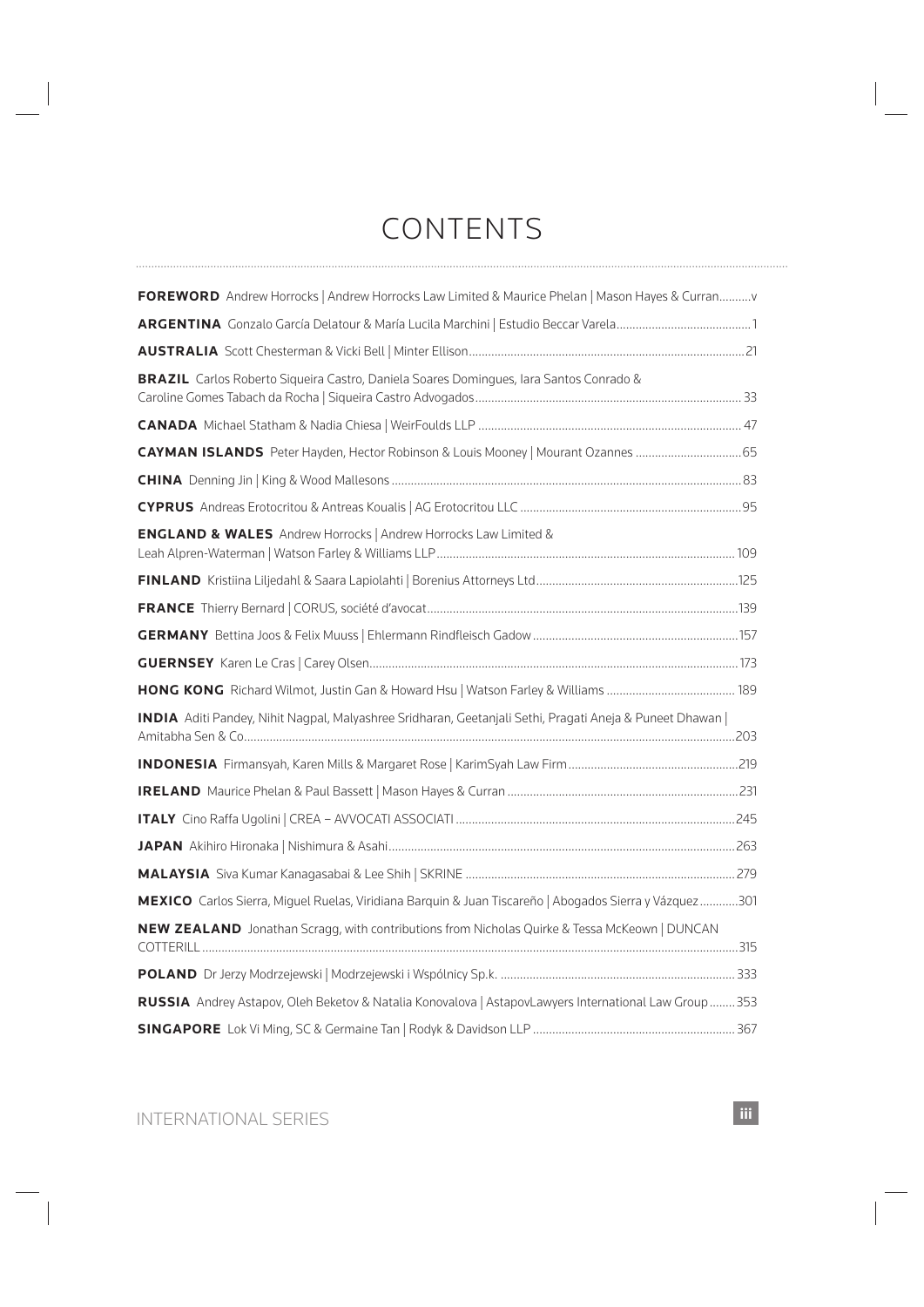# CONTENTS

| FOREWORD Andrew Horrocks   Andrew Horrocks Law Limited & Maurice Phelan   Mason Hayes & Curranv         |  |
|---------------------------------------------------------------------------------------------------------|--|
|                                                                                                         |  |
|                                                                                                         |  |
| BRAZIL Carlos Roberto Sigueira Castro, Daniela Soares Domingues, Iara Santos Conrado &                  |  |
|                                                                                                         |  |
| CAYMAN ISLANDS Peter Hayden, Hector Robinson & Louis Mooney   Mourant Ozannes  65                       |  |
|                                                                                                         |  |
|                                                                                                         |  |
| <b>ENGLAND &amp; WALES</b> Andrew Horrocks   Andrew Horrocks Law Limited &                              |  |
|                                                                                                         |  |
|                                                                                                         |  |
|                                                                                                         |  |
|                                                                                                         |  |
|                                                                                                         |  |
| INDIA Aditi Pandey, Nihit Nagpal, Malyashree Sridharan, Geetanjali Sethi, Pragati Aneja & Puneet Dhawan |  |
|                                                                                                         |  |
|                                                                                                         |  |
|                                                                                                         |  |
|                                                                                                         |  |
|                                                                                                         |  |
| MEXICO Carlos Sierra, Miguel Ruelas, Viridiana Barquin & Juan Tiscareño   Abogados Sierra y Vázquez301  |  |
| NEW ZEALAND Jonathan Scragg, with contributions from Nicholas Quirke & Tessa McKeown   DUNCAN           |  |
|                                                                                                         |  |
| RUSSIA Andrey Astapov, Oleh Beketov & Natalia Konovalova   AstapovLawyers International Law Group  353  |  |
|                                                                                                         |  |
|                                                                                                         |  |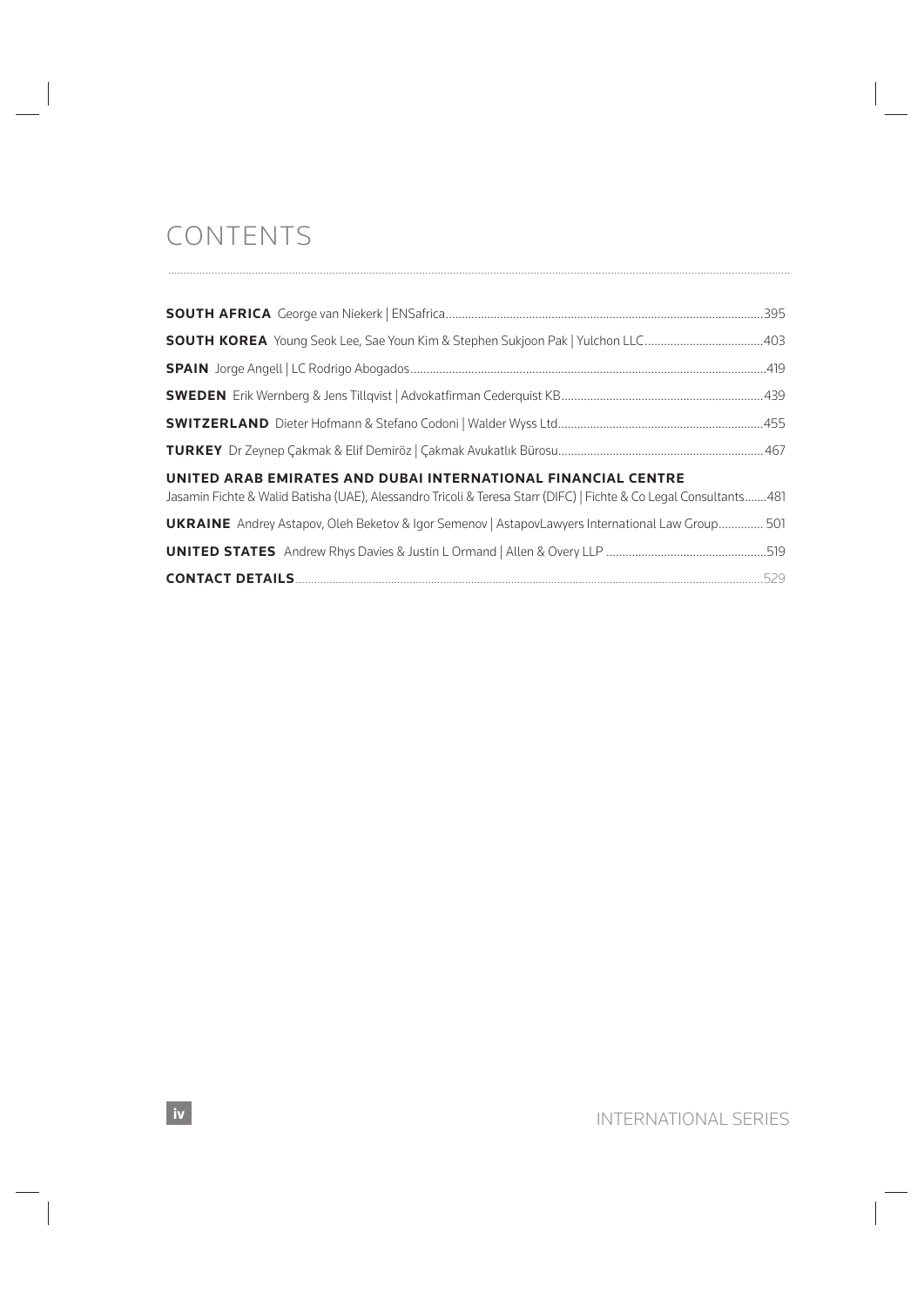# CONTENTS

| UNITED ARAB EMIRATES AND DUBAI INTERNATIONAL FINANCIAL CENTRE<br>Jasamin Fichte & Walid Batisha (UAE), Alessandro Tricoli & Teresa Starr (DIFC)   Fichte & Co Legal Consultants481 |  |
|------------------------------------------------------------------------------------------------------------------------------------------------------------------------------------|--|
| <b>UKRAINE</b> Andrey Astapov, Oleh Beketov & Igor Semenov   AstapovLawyers International Law Group 501                                                                            |  |
|                                                                                                                                                                                    |  |
|                                                                                                                                                                                    |  |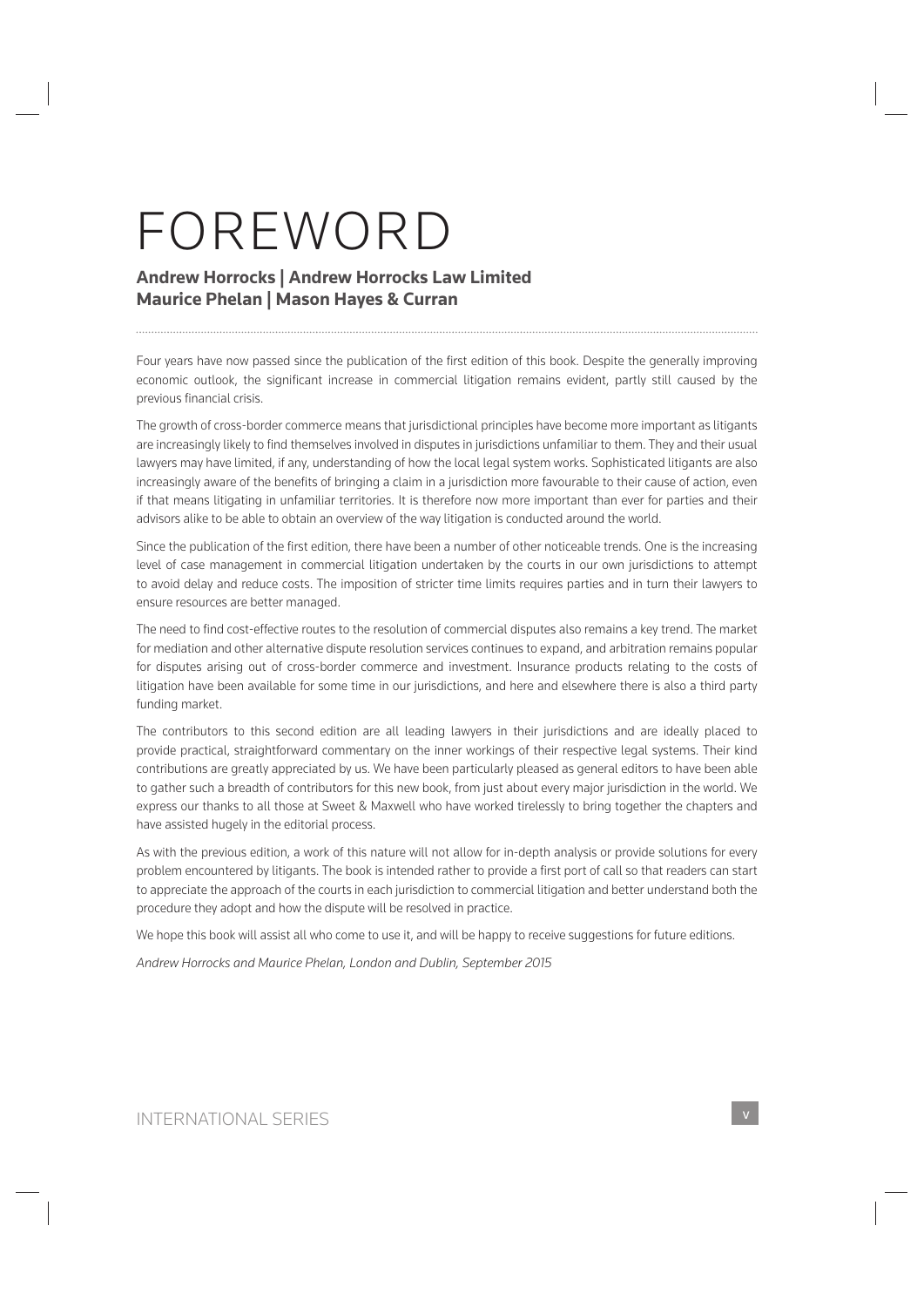# FOREWORD

# **Andrew Horrocks | Andrew Horrocks Law Limited Maurice Phelan | Mason Hayes & Curran**

Four years have now passed since the publication of the first edition of this book. Despite the generally improving economic outlook, the significant increase in commercial litigation remains evident, partly still caused by the previous financial crisis.

The growth of cross-border commerce means that jurisdictional principles have become more important as litigants are increasingly likely to find themselves involved in disputes in jurisdictions unfamiliar to them. They and their usual lawyers may have limited, if any, understanding of how the local legal system works. Sophisticated litigants are also increasingly aware of the benefits of bringing a claim in a jurisdiction more favourable to their cause of action, even if that means litigating in unfamiliar territories. It is therefore now more important than ever for parties and their advisors alike to be able to obtain an overview of the way litigation is conducted around the world.

Since the publication of the first edition, there have been a number of other noticeable trends. One is the increasing level of case management in commercial litigation undertaken by the courts in our own jurisdictions to attempt to avoid delay and reduce costs. The imposition of stricter time limits requires parties and in turn their lawyers to ensure resources are better managed.

The need to find cost-effective routes to the resolution of commercial disputes also remains a key trend. The market for mediation and other alternative dispute resolution services continues to expand, and arbitration remains popular for disputes arising out of cross-border commerce and investment. Insurance products relating to the costs of litigation have been available for some time in our jurisdictions, and here and elsewhere there is also a third party funding market.

The contributors to this second edition are all leading lawyers in their jurisdictions and are ideally placed to provide practical, straightforward commentary on the inner workings of their respective legal systems. Their kind contributions are greatly appreciated by us. We have been particularly pleased as general editors to have been able to gather such a breadth of contributors for this new book, from just about every major jurisdiction in the world. We express our thanks to all those at Sweet & Maxwell who have worked tirelessly to bring together the chapters and have assisted hugely in the editorial process.

As with the previous edition, a work of this nature will not allow for in-depth analysis or provide solutions for every problem encountered by litigants. The book is intended rather to provide a first port of call so that readers can start to appreciate the approach of the courts in each jurisdiction to commercial litigation and better understand both the procedure they adopt and how the dispute will be resolved in practice.

We hope this book will assist all who come to use it, and will be happy to receive suggestions for future editions.

*Andrew Horrocks and Maurice Phelan, London and Dublin, September 2015*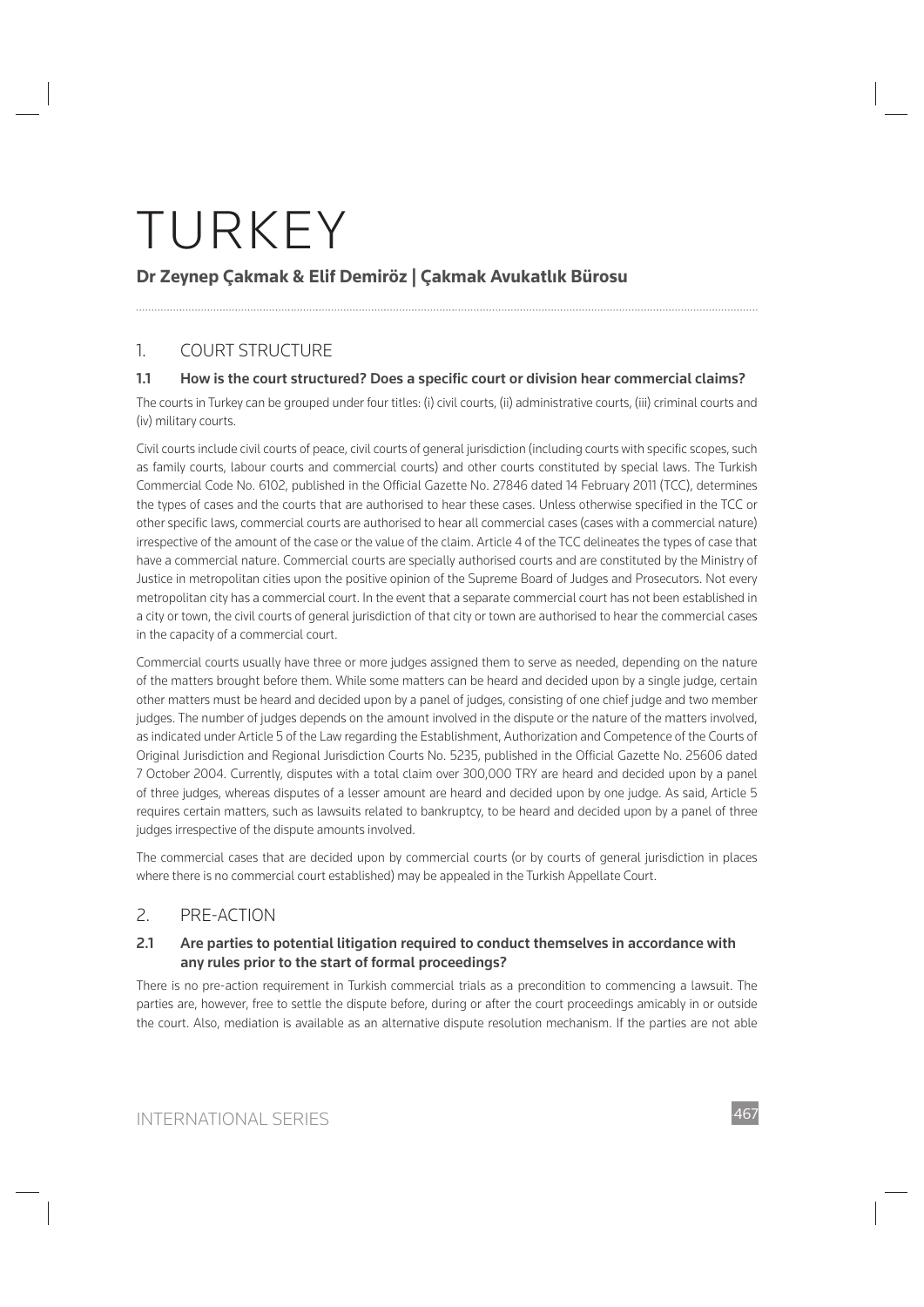# **Dr Zeynep Çakmak & Elif Demiröz | Çakmak Avukatlık Bürosu**

# 1. COURT STRUCTURE

# 1.1 How is the court structured? Does a specific court or division hear commercial claims?

The courts in Turkey can be grouped under four titles: (i) civil courts, (ii) administrative courts, (iii) criminal courts and (iv) military courts.

Civil courts include civil courts of peace, civil courts of general jurisdiction (including courts with specific scopes, such as family courts, labour courts and commercial courts) and other courts constituted by special laws. The Turkish Commercial Code No. 6102, published in the Official Gazette No. 27846 dated 14 February 2011 (TCC), determines the types of cases and the courts that are authorised to hear these cases. Unless otherwise specified in the TCC or other specific laws, commercial courts are authorised to hear all commercial cases (cases with a commercial nature) irrespective of the amount of the case or the value of the claim. Article 4 of the TCC delineates the types of case that have a commercial nature. Commercial courts are specially authorised courts and are constituted by the Ministry of Justice in metropolitan cities upon the positive opinion of the Supreme Board of Judges and Prosecutors. Not every metropolitan city has a commercial court. In the event that a separate commercial court has not been established in a city or town, the civil courts of general jurisdiction of that city or town are authorised to hear the commercial cases in the capacity of a commercial court.

Commercial courts usually have three or more judges assigned them to serve as needed, depending on the nature of the matters brought before them. While some matters can be heard and decided upon by a single judge, certain other matters must be heard and decided upon by a panel of judges, consisting of one chief judge and two member judges. The number of judges depends on the amount involved in the dispute or the nature of the matters involved, as indicated under Article 5 of the Law regarding the Establishment, Authorization and Competence of the Courts of Original Jurisdiction and Regional Jurisdiction Courts No. 5235, published in the Official Gazette No. 25606 dated 7 October 2004. Currently, disputes with a total claim over 300,000 TRY are heard and decided upon by a panel of three judges, whereas disputes of a lesser amount are heard and decided upon by one judge. As said, Article 5 requires certain matters, such as lawsuits related to bankruptcy, to be heard and decided upon by a panel of three judges irrespective of the dispute amounts involved.

The commercial cases that are decided upon by commercial courts (or by courts of general jurisdiction in places where there is no commercial court established) may be appealed in the Turkish Appellate Court.

# 2. PRE-ACTION

### **2.1 Are parties to potential litigation required to conduct themselves in accordance with any rules prior to the start of formal proceedings?**

There is no pre-action requirement in Turkish commercial trials as a precondition to commencing a lawsuit. The parties are, however, free to settle the dispute before, during or after the court proceedings amicably in or outside the court. Also, mediation is available as an alternative dispute resolution mechanism. If the parties are not able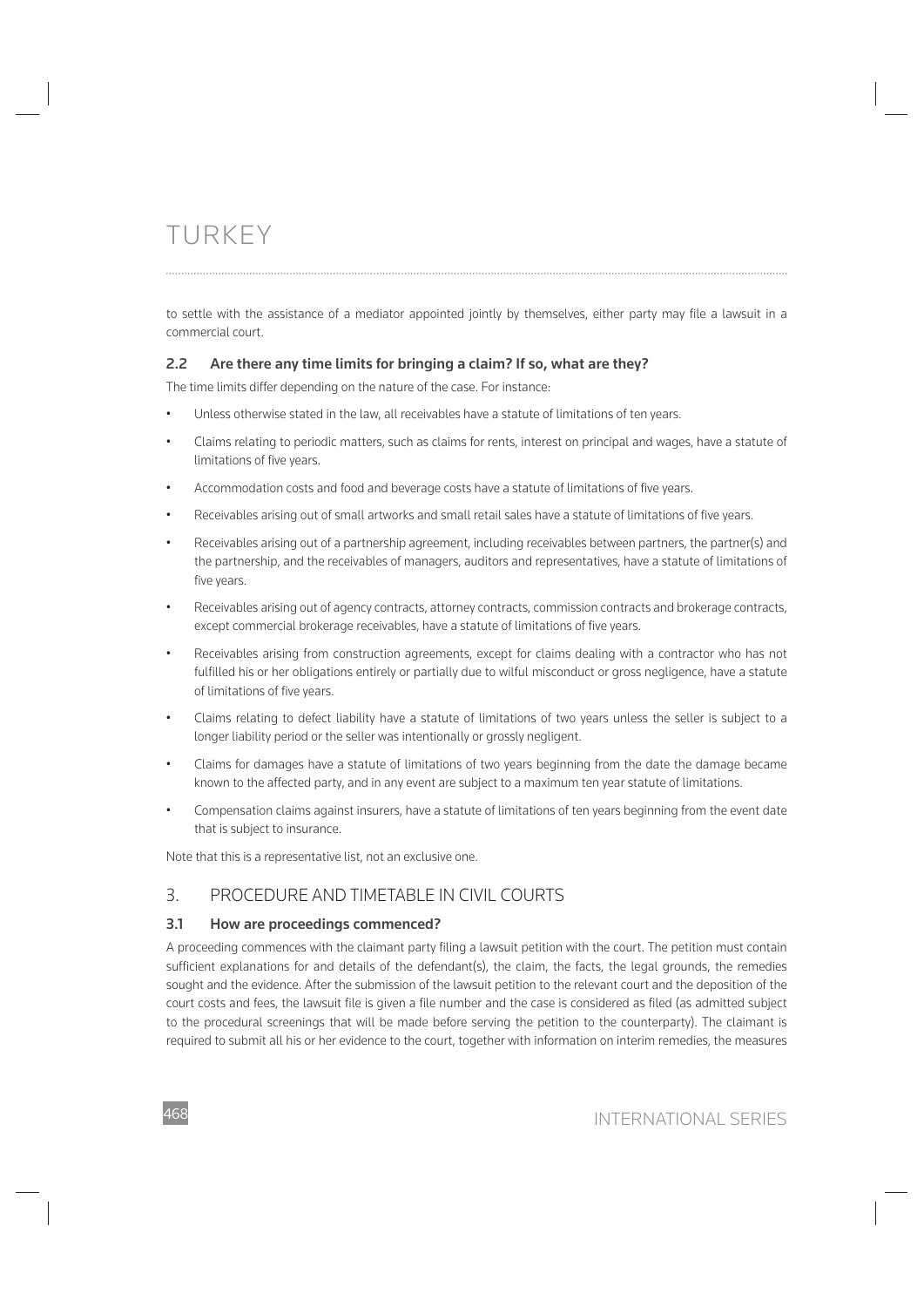to settle with the assistance of a mediator appointed jointly by themselves, either party may file a lawsuit in a commercial court.

## **2.2 Are there any time limits for bringing a claim? If so, what are they?**

The time limits differ depending on the nature of the case. For instance:

- Unless otherwise stated in the law, all receivables have a statute of limitations of ten years.
- Claims relating to periodic matters, such as claims for rents, interest on principal and wages, have a statute of limitations of five years.
- Accommodation costs and food and beverage costs have a statute of limitations of five years.
- Receivables arising out of small artworks and small retail sales have a statute of limitations of five years.
- Receivables arising out of a partnership agreement, including receivables between partners, the partner(s) and the partnership, and the receivables of managers, auditors and representatives, have a statute of limitations of five years.
- Receivables arising out of agency contracts, attorney contracts, commission contracts and brokerage contracts, except commercial brokerage receivables, have a statute of limitations of five years.
- Receivables arising from construction agreements, except for claims dealing with a contractor who has not fulfilled his or her obligations entirely or partially due to wilful misconduct or gross negligence, have a statute of limitations of five years.
- Claims relating to defect liability have a statute of limitations of two years unless the seller is subject to a longer liability period or the seller was intentionally or grossly negligent.
- Claims for damages have a statute of limitations of two years beginning from the date the damage became known to the affected party, and in any event are subject to a maximum ten year statute of limitations.
- Compensation claims against insurers, have a statute of limitations of ten years beginning from the event date that is subject to insurance.

Note that this is a representative list, not an exclusive one.

# 3. PROCEDURE AND TIMETABLE IN CIVIL COURTS

### **3.1 How are proceedings commenced?**

A proceeding commences with the claimant party filing a lawsuit petition with the court. The petition must contain sufficient explanations for and details of the defendant(s), the claim, the facts, the legal grounds, the remedies sought and the evidence. After the submission of the lawsuit petition to the relevant court and the deposition of the court costs and fees, the lawsuit file is given a file number and the case is considered as filed (as admitted subject to the procedural screenings that will be made before serving the petition to the counterparty). The claimant is required to submit all his or her evidence to the court, together with information on interim remedies, the measures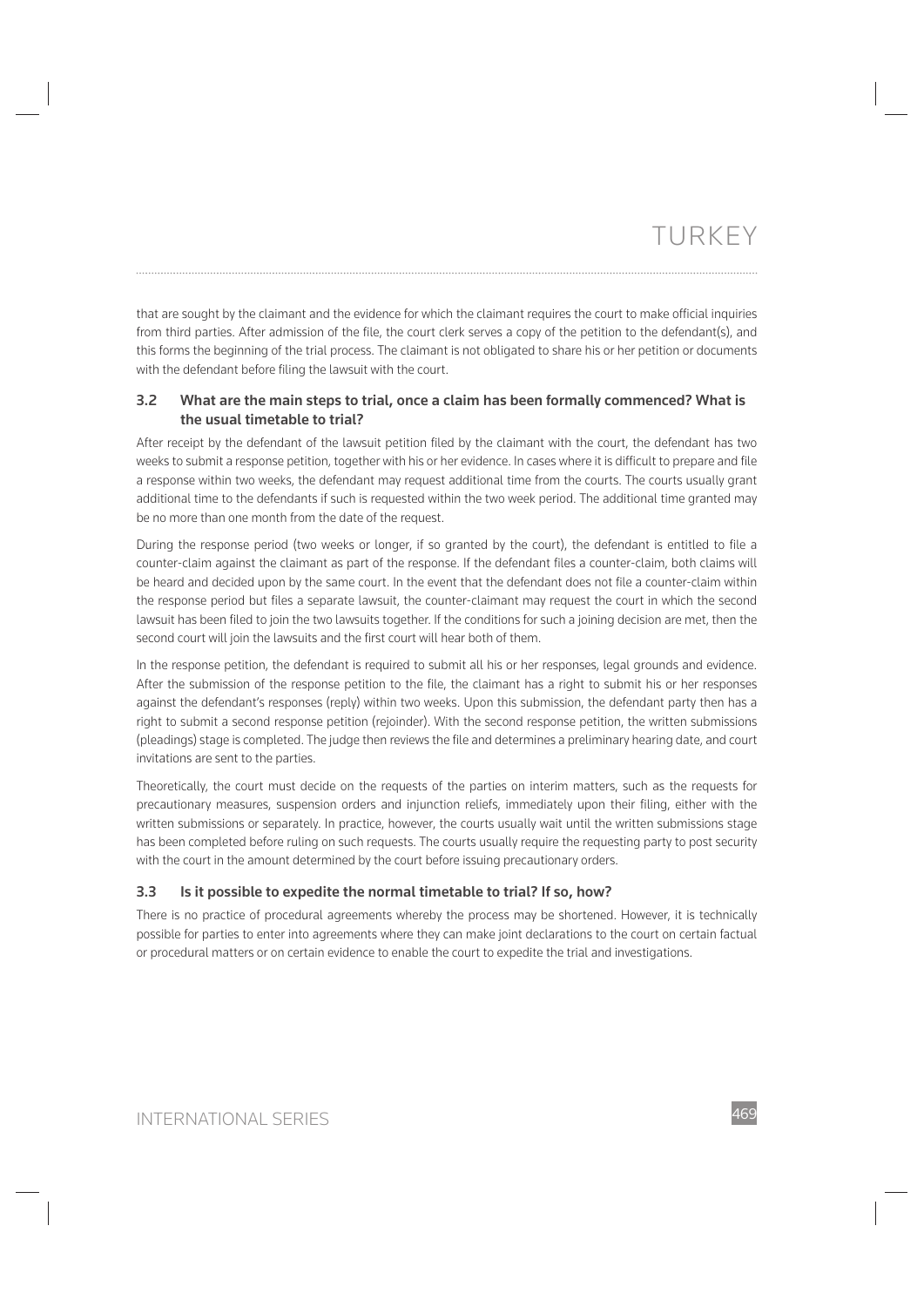that are sought by the claimant and the evidence for which the claimant requires the court to make official inquiries from third parties. After admission of the file, the court clerk serves a copy of the petition to the defendant(s), and this forms the beginning of the trial process. The claimant is not obligated to share his or her petition or documents with the defendant before filing the lawsuit with the court.

## **3.2 What are the main steps to trial, once a claim has been formally commenced? What is the usual timetable to trial?**

After receipt by the defendant of the lawsuit petition filed by the claimant with the court, the defendant has two weeks to submit a response petition, together with his or her evidence. In cases where it is difficult to prepare and file a response within two weeks, the defendant may request additional time from the courts. The courts usually grant additional time to the defendants if such is requested within the two week period. The additional time granted may be no more than one month from the date of the request.

During the response period (two weeks or longer, if so granted by the court), the defendant is entitled to file a counter-claim against the claimant as part of the response. If the defendant files a counter-claim, both claims will be heard and decided upon by the same court. In the event that the defendant does not file a counter-claim within the response period but files a separate lawsuit, the counter-claimant may request the court in which the second lawsuit has been filed to join the two lawsuits together. If the conditions for such a joining decision are met, then the second court will join the lawsuits and the first court will hear both of them.

In the response petition, the defendant is required to submit all his or her responses, legal grounds and evidence. After the submission of the response petition to the file, the claimant has a right to submit his or her responses against the defendant's responses (reply) within two weeks. Upon this submission, the defendant party then has a right to submit a second response petition (rejoinder). With the second response petition, the written submissions (pleadings) stage is completed. The judge then reviews the file and determines a preliminary hearing date, and court invitations are sent to the parties.

Theoretically, the court must decide on the requests of the parties on interim matters, such as the requests for precautionary measures, suspension orders and injunction reliefs, immediately upon their filing, either with the written submissions or separately. In practice, however, the courts usually wait until the written submissions stage has been completed before ruling on such requests. The courts usually require the requesting party to post security with the court in the amount determined by the court before issuing precautionary orders.

### **3.3 Is it possible to expedite the normal timetable to trial? If so, how?**

There is no practice of procedural agreements whereby the process may be shortened. However, it is technically possible for parties to enter into agreements where they can make joint declarations to the court on certain factual or procedural matters or on certain evidence to enable the court to expedite the trial and investigations.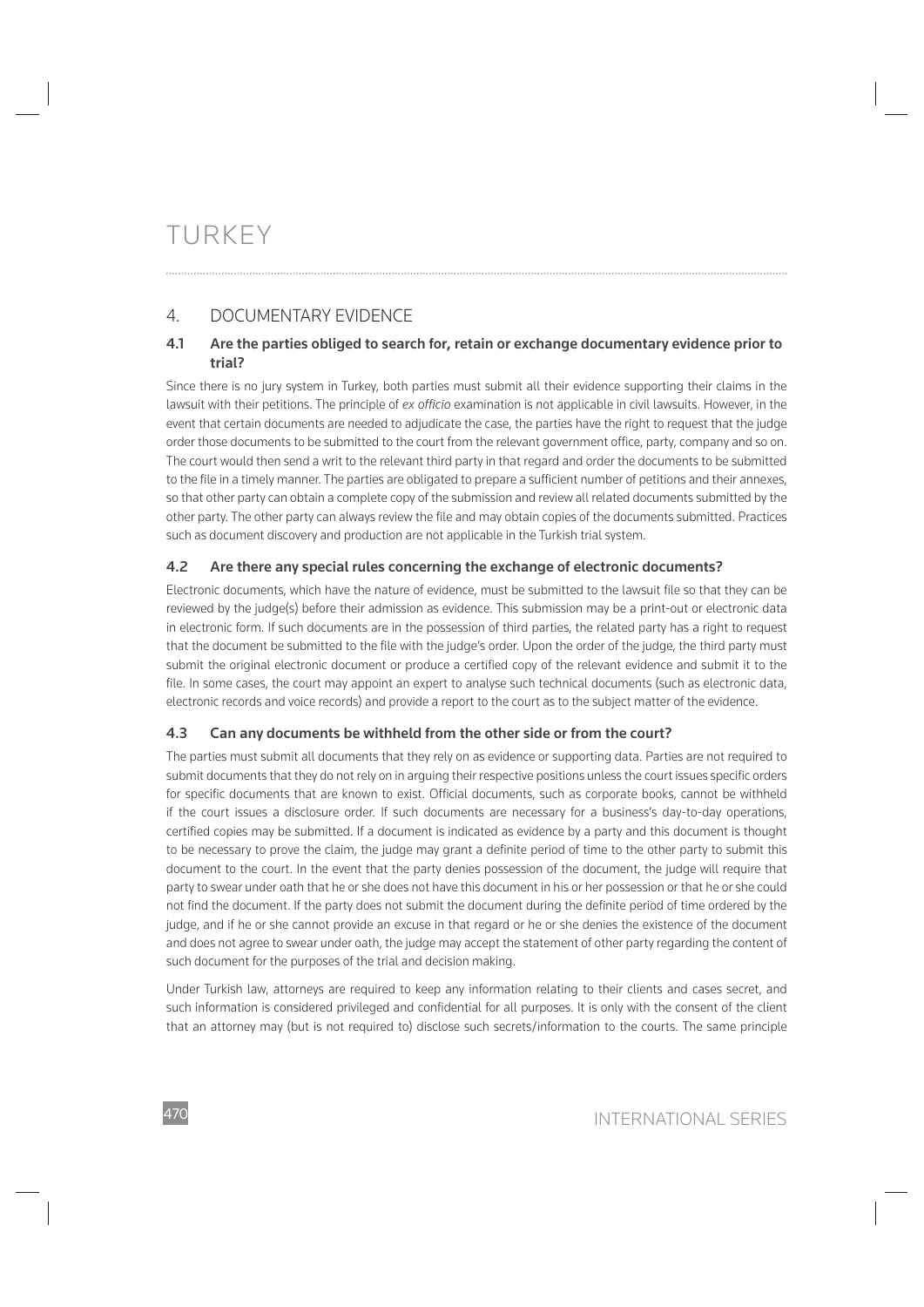# 4. DOCUMENTARY EVIDENCE

# **4.1 Are the parties obliged to search for, retain or exchange documentary evidence prior to trial?**

Since there is no jury system in Turkey, both parties must submit all their evidence supporting their claims in the lawsuit with their petitions. The principle of *ex officio* examination is not applicable in civil lawsuits. However, in the event that certain documents are needed to adjudicate the case, the parties have the right to request that the judge order those documents to be submitted to the court from the relevant government office, party, company and so on. The court would then send a writ to the relevant third party in that regard and order the documents to be submitted to the file in a timely manner. The parties are obligated to prepare a sufficient number of petitions and their annexes, so that other party can obtain a complete copy of the submission and review all related documents submitted by the other party. The other party can always review the file and may obtain copies of the documents submitted. Practices such as document discovery and production are not applicable in the Turkish trial system.

# **4.2 Are there any special rules concerning the exchange of electronic documents?**

Electronic documents, which have the nature of evidence, must be submitted to the lawsuit file so that they can be reviewed by the judge(s) before their admission as evidence. This submission may be a print-out or electronic data in electronic form. If such documents are in the possession of third parties, the related party has a right to request that the document be submitted to the file with the judge's order. Upon the order of the judge, the third party must submit the original electronic document or produce a certified copy of the relevant evidence and submit it to the file. In some cases, the court may appoint an expert to analyse such technical documents (such as electronic data, electronic records and voice records) and provide a report to the court as to the subject matter of the evidence.

# **4.3 Can any documents be withheld from the other side or from the court?**

The parties must submit all documents that they rely on as evidence or supporting data. Parties are not required to submit documents that they do not rely on in arguing their respective positions unless the court issues specific orders for specific documents that are known to exist. Official documents, such as corporate books, cannot be withheld if the court issues a disclosure order. If such documents are necessary for a business's day-to-day operations, certified copies may be submitted. If a document is indicated as evidence by a party and this document is thought to be necessary to prove the claim, the judge may grant a definite period of time to the other party to submit this document to the court. In the event that the party denies possession of the document, the judge will require that party to swear under oath that he or she does not have this document in his or her possession or that he or she could not find the document. If the party does not submit the document during the definite period of time ordered by the judge, and if he or she cannot provide an excuse in that regard or he or she denies the existence of the document and does not agree to swear under oath, the judge may accept the statement of other party regarding the content of such document for the purposes of the trial and decision making.

Under Turkish law, attorneys are required to keep any information relating to their clients and cases secret, and such information is considered privileged and confidential for all purposes. It is only with the consent of the client that an attorney may (but is not required to) disclose such secrets/information to the courts. The same principle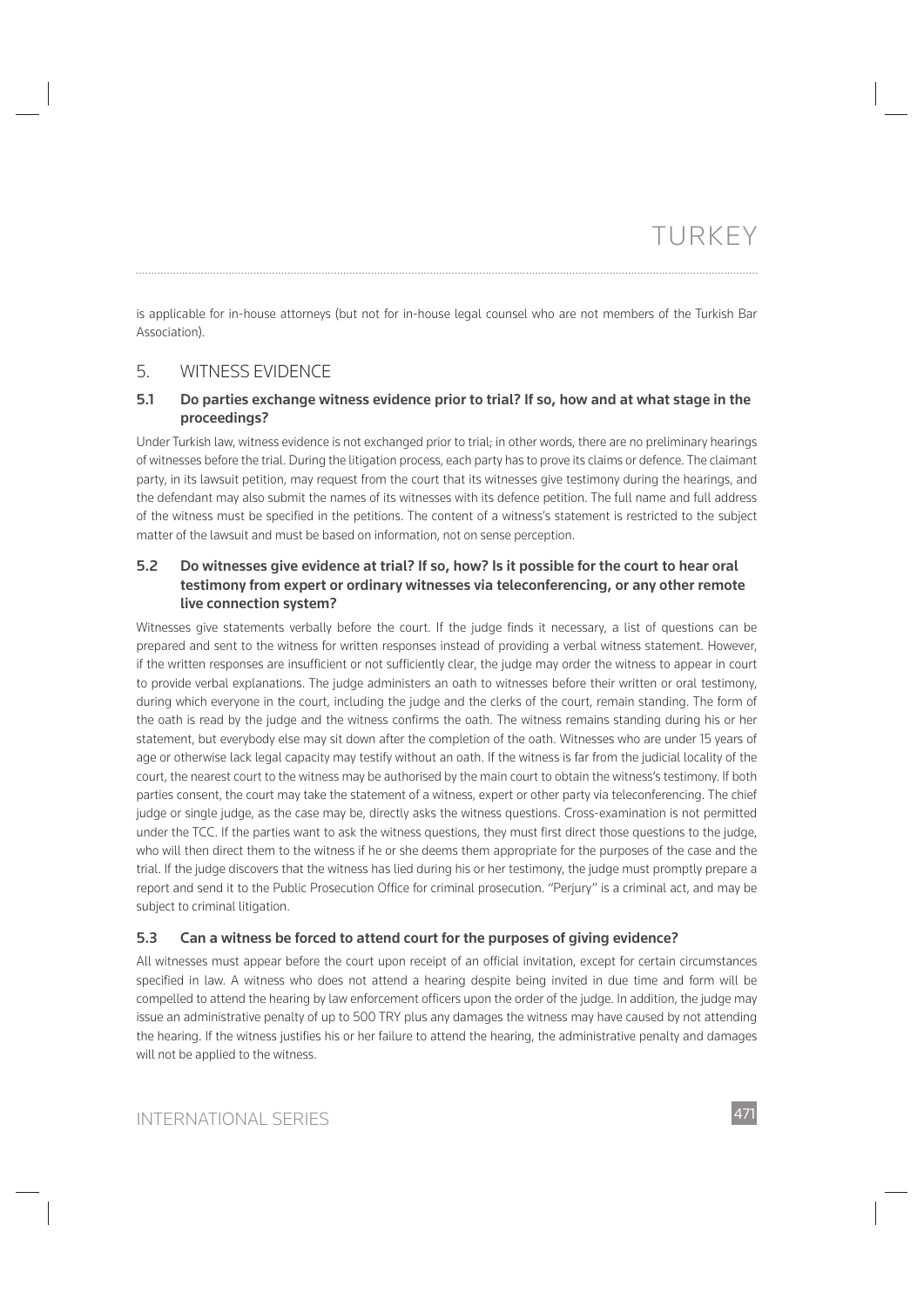is applicable for in-house attorneys (but not for in-house legal counsel who are not members of the Turkish Bar

# 5. WITNESS EVIDENCE

Association).

## **5.1 Do parties exchange witness evidence prior to trial? If so, how and at what stage in the proceedings?**

Under Turkish law, witness evidence is not exchanged prior to trial; in other words, there are no preliminary hearings of witnesses before the trial. During the litigation process, each party has to prove its claims or defence. The claimant party, in its lawsuit petition, may request from the court that its witnesses give testimony during the hearings, and the defendant may also submit the names of its witnesses with its defence petition. The full name and full address of the witness must be specified in the petitions. The content of a witness's statement is restricted to the subject matter of the lawsuit and must be based on information, not on sense perception.

# **5.2 Do witnesses give evidence at trial? If so, how? Is it possible for the court to hear oral testimony from expert or ordinary witnesses via teleconferencing, or any other remote live connection system?**

Witnesses give statements verbally before the court. If the judge finds it necessary, a list of questions can be prepared and sent to the witness for written responses instead of providing a verbal witness statement. However, if the written responses are insufficient or not sufficiently clear, the judge may order the witness to appear in court to provide verbal explanations. The judge administers an oath to witnesses before their written or oral testimony, during which everyone in the court, including the judge and the clerks of the court, remain standing. The form of the oath is read by the judge and the witness confirms the oath. The witness remains standing during his or her statement, but everybody else may sit down after the completion of the oath. Witnesses who are under 15 years of age or otherwise lack legal capacity may testify without an oath. If the witness is far from the judicial locality of the court, the nearest court to the witness may be authorised by the main court to obtain the witness's testimony. If both parties consent, the court may take the statement of a witness, expert or other party via teleconferencing. The chief judge or single judge, as the case may be, directly asks the witness questions. Cross-examination is not permitted under the TCC. If the parties want to ask the witness questions, they must first direct those questions to the judge, who will then direct them to the witness if he or she deems them appropriate for the purposes of the case and the trial. If the judge discovers that the witness has lied during his or her testimony, the judge must promptly prepare a report and send it to the Public Prosecution Office for criminal prosecution. "Perjury" is a criminal act, and may be subject to criminal litigation.

# **5.3 Can a witness be forced to attend court for the purposes of giving evidence?**

All witnesses must appear before the court upon receipt of an official invitation, except for certain circumstances specified in law. A witness who does not attend a hearing despite being invited in due time and form will be compelled to attend the hearing by law enforcement officers upon the order of the judge. In addition, the judge may issue an administrative penalty of up to 500 TRY plus any damages the witness may have caused by not attending the hearing. If the witness justifies his or her failure to attend the hearing, the administrative penalty and damages will not be applied to the witness.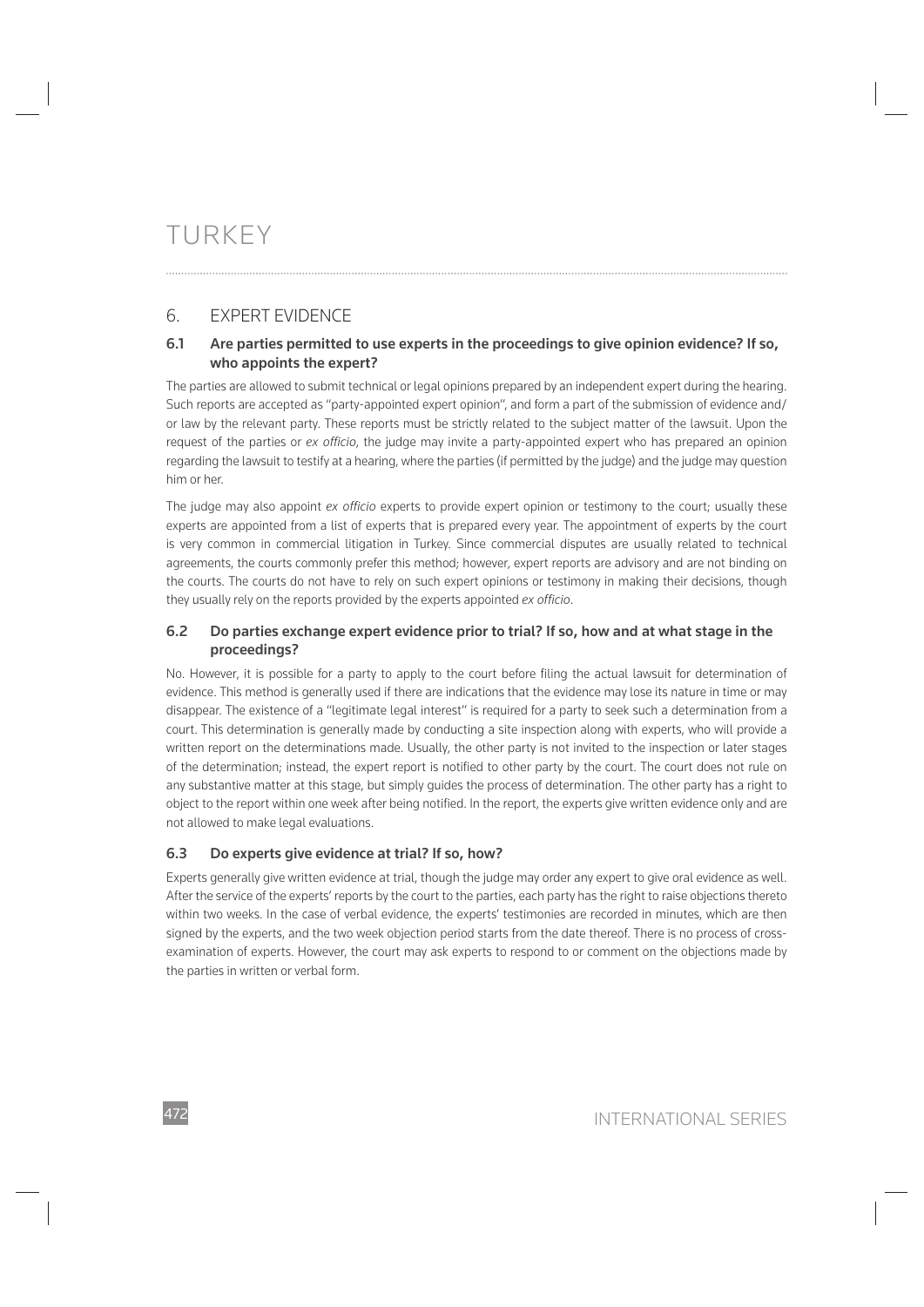# 6. EXPERT EVIDENCE

# **6.1 Are parties permitted to use experts in the proceedings to give opinion evidence? If so, who appoints the expert?**

The parties are allowed to submit technical or legal opinions prepared by an independent expert during the hearing. Such reports are accepted as "party-appointed expert opinion", and form a part of the submission of evidence and/ or law by the relevant party. These reports must be strictly related to the subject matter of the lawsuit. Upon the request of the parties or *ex officio*, the judge may invite a party-appointed expert who has prepared an opinion regarding the lawsuit to testify at a hearing, where the parties (if permitted by the judge) and the judge may question him or her.

The judge may also appoint *ex officio* experts to provide expert opinion or testimony to the court; usually these experts are appointed from a list of experts that is prepared every year. The appointment of experts by the court is very common in commercial litigation in Turkey. Since commercial disputes are usually related to technical agreements, the courts commonly prefer this method; however, expert reports are advisory and are not binding on the courts. The courts do not have to rely on such expert opinions or testimony in making their decisions, though they usually rely on the reports provided by the experts appointed *ex officio*.

# **6.2 Do parties exchange expert evidence prior to trial? If so, how and at what stage in the proceedings?**

No. However, it is possible for a party to apply to the court before filing the actual lawsuit for determination of evidence. This method is generally used if there are indications that the evidence may lose its nature in time or may disappear. The existence of a "legitimate legal interest" is required for a party to seek such a determination from a court. This determination is generally made by conducting a site inspection along with experts, who will provide a written report on the determinations made. Usually, the other party is not invited to the inspection or later stages of the determination; instead, the expert report is notified to other party by the court. The court does not rule on any substantive matter at this stage, but simply guides the process of determination. The other party has a right to object to the report within one week after being notified. In the report, the experts give written evidence only and are not allowed to make legal evaluations.

# **6.3 Do experts give evidence at trial? If so, how?**

Experts generally give written evidence at trial, though the judge may order any expert to give oral evidence as well. After the service of the experts' reports by the court to the parties, each party has the right to raise objections thereto within two weeks. In the case of verbal evidence, the experts' testimonies are recorded in minutes, which are then signed by the experts, and the two week objection period starts from the date thereof. There is no process of crossexamination of experts. However, the court may ask experts to respond to or comment on the objections made by the parties in written or verbal form.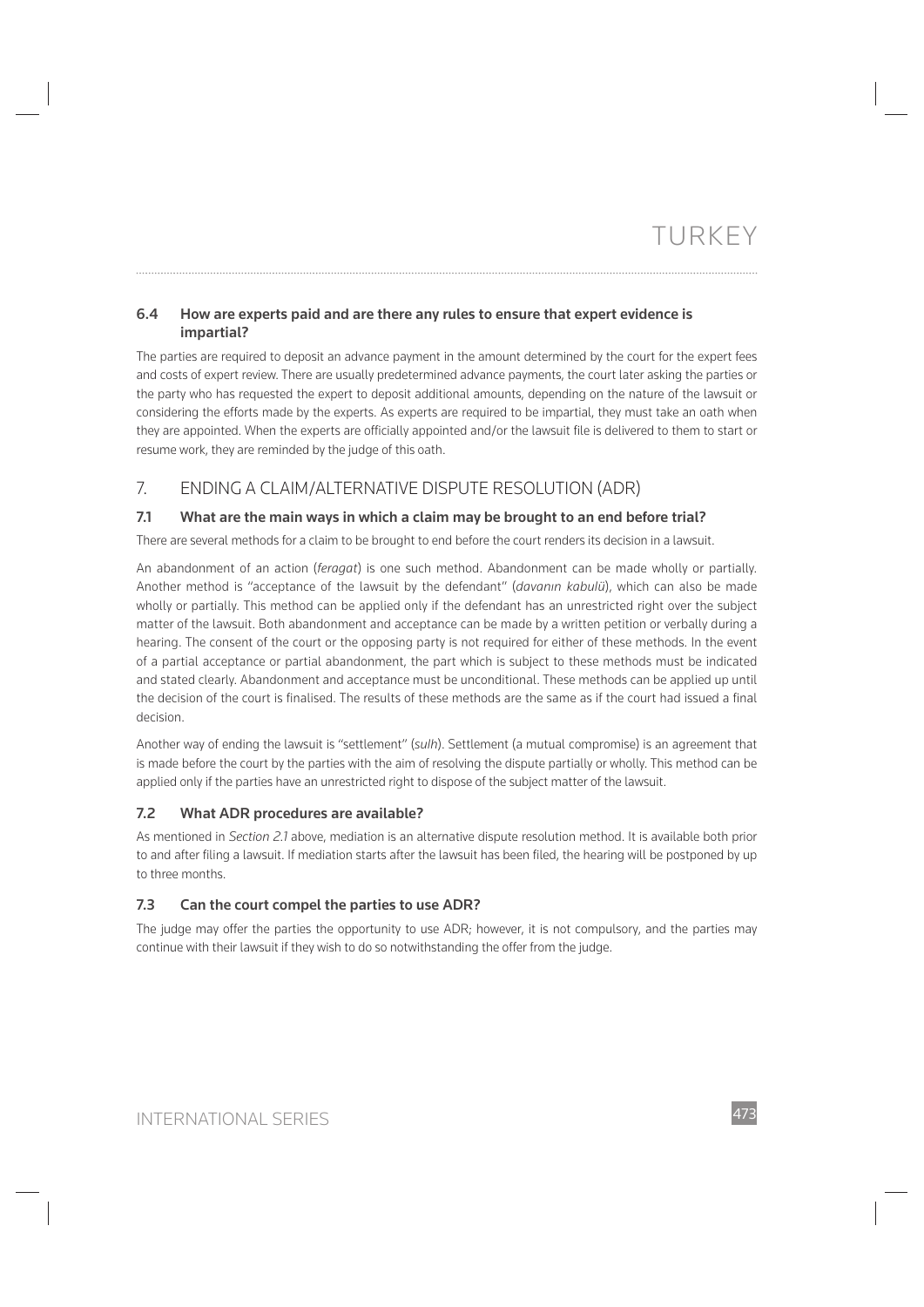# **6.4 How are experts paid and are there any rules to ensure that expert evidence is impartial?**

The parties are required to deposit an advance payment in the amount determined by the court for the expert fees and costs of expert review. There are usually predetermined advance payments, the court later asking the parties or the party who has requested the expert to deposit additional amounts, depending on the nature of the lawsuit or considering the efforts made by the experts. As experts are required to be impartial, they must take an oath when they are appointed. When the experts are officially appointed and/or the lawsuit file is delivered to them to start or resume work, they are reminded by the judge of this oath.

# 7. ENDING A CLAIM/ALTERNATIVE DISPUTE RESOLUTION (ADR)

# **7.1 What are the main ways in which a claim may be brought to an end before trial?**

There are several methods for a claim to be brought to end before the court renders its decision in a lawsuit.

An abandonment of an action (*feragat*) is one such method. Abandonment can be made wholly or partially. Another method is "acceptance of the lawsuit by the defendant" (*davanın kabulü*), which can also be made wholly or partially. This method can be applied only if the defendant has an unrestricted right over the subject matter of the lawsuit. Both abandonment and acceptance can be made by a written petition or verbally during a hearing. The consent of the court or the opposing party is not required for either of these methods. In the event of a partial acceptance or partial abandonment, the part which is subject to these methods must be indicated and stated clearly. Abandonment and acceptance must be unconditional. These methods can be applied up until the decision of the court is finalised. The results of these methods are the same as if the court had issued a final decision.

Another way of ending the lawsuit is "settlement" (*sulh*). Settlement (a mutual compromise) is an agreement that is made before the court by the parties with the aim of resolving the dispute partially or wholly. This method can be applied only if the parties have an unrestricted right to dispose of the subject matter of the lawsuit.

### **7.2 What ADR procedures are available?**

As mentioned in *Section 2.1* above, mediation is an alternative dispute resolution method. It is available both prior to and after filing a lawsuit. If mediation starts after the lawsuit has been filed, the hearing will be postponed by up to three months.

### **7.3 Can the court compel the parties to use ADR?**

The judge may offer the parties the opportunity to use ADR; however, it is not compulsory, and the parties may continue with their lawsuit if they wish to do so notwithstanding the offer from the judge.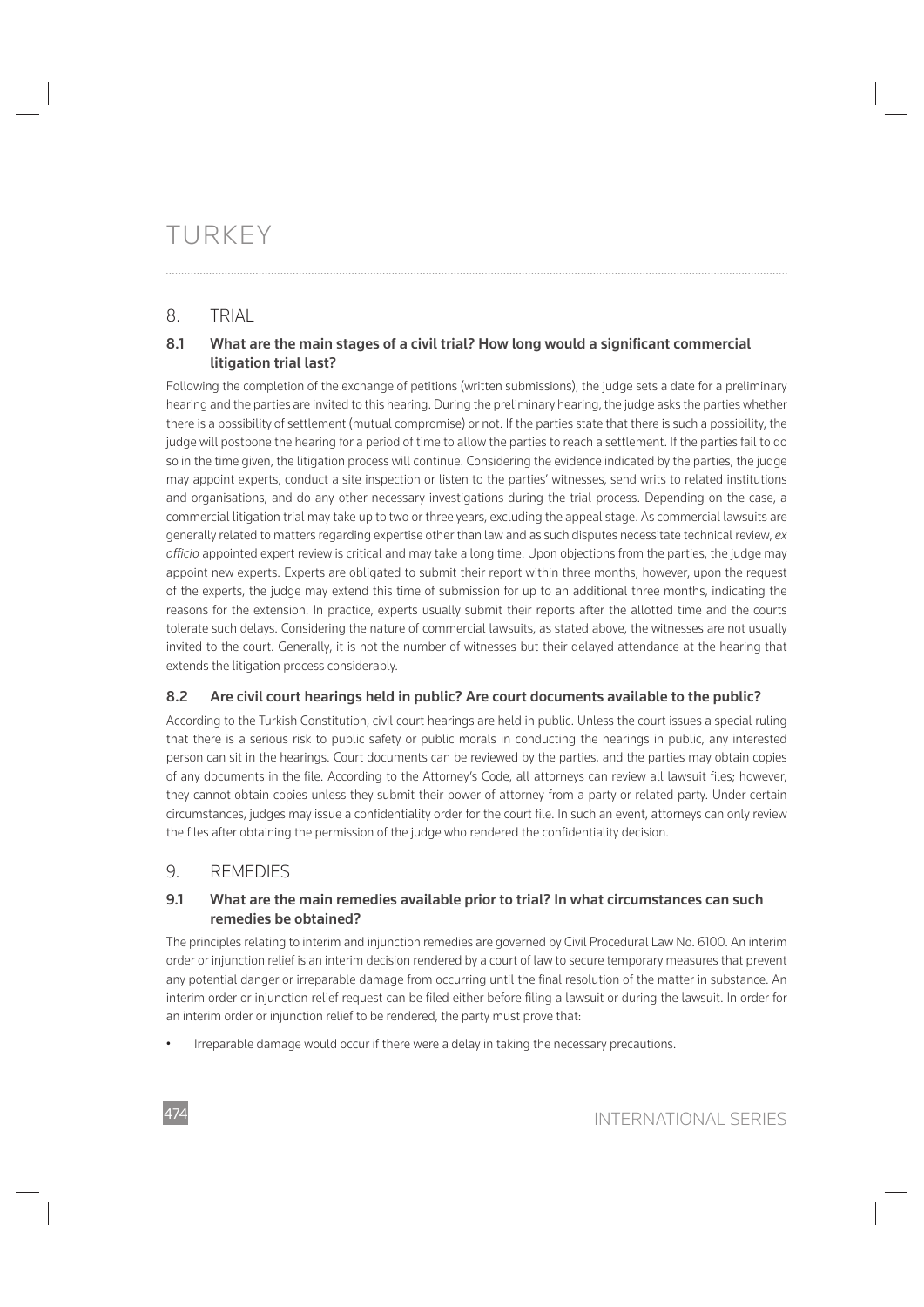# 8. TRIAL

# 8.1 What are the main stages of a civil trial? How long would a significant commercial **litigation trial last?**

Following the completion of the exchange of petitions (written submissions), the judge sets a date for a preliminary hearing and the parties are invited to this hearing. During the preliminary hearing, the judge asks the parties whether there is a possibility of settlement (mutual compromise) or not. If the parties state that there is such a possibility, the judge will postpone the hearing for a period of time to allow the parties to reach a settlement. If the parties fail to do so in the time given, the litigation process will continue. Considering the evidence indicated by the parties, the judge may appoint experts, conduct a site inspection or listen to the parties' witnesses, send writs to related institutions and organisations, and do any other necessary investigations during the trial process. Depending on the case, a commercial litigation trial may take up to two or three years, excluding the appeal stage. As commercial lawsuits are generally related to matters regarding expertise other than law and as such disputes necessitate technical review, *ex offi cio* appointed expert review is critical and may take a long time. Upon objections from the parties, the judge may appoint new experts. Experts are obligated to submit their report within three months; however, upon the request of the experts, the judge may extend this time of submission for up to an additional three months, indicating the reasons for the extension. In practice, experts usually submit their reports after the allotted time and the courts tolerate such delays. Considering the nature of commercial lawsuits, as stated above, the witnesses are not usually invited to the court. Generally, it is not the number of witnesses but their delayed attendance at the hearing that extends the litigation process considerably.

# **8.2 Are civil court hearings held in public? Are court documents available to the public?**

According to the Turkish Constitution, civil court hearings are held in public. Unless the court issues a special ruling that there is a serious risk to public safety or public morals in conducting the hearings in public, any interested person can sit in the hearings. Court documents can be reviewed by the parties, and the parties may obtain copies of any documents in the file. According to the Attorney's Code, all attorneys can review all lawsuit files; however, they cannot obtain copies unless they submit their power of attorney from a party or related party. Under certain circumstances, judges may issue a confidentiality order for the court file. In such an event, attorneys can only review the files after obtaining the permission of the judge who rendered the confidentiality decision.

# 9. REMEDIES

# **9.1 What are the main remedies available prior to trial? In what circumstances can such remedies be obtained?**

The principles relating to interim and injunction remedies are governed by Civil Procedural Law No. 6100. An interim order or injunction relief is an interim decision rendered by a court of law to secure temporary measures that prevent any potential danger or irreparable damage from occurring until the final resolution of the matter in substance. An interim order or injunction relief request can be filed either before filing a lawsuit or during the lawsuit. In order for an interim order or injunction relief to be rendered, the party must prove that:

• Irreparable damage would occur if there were a delay in taking the necessary precautions.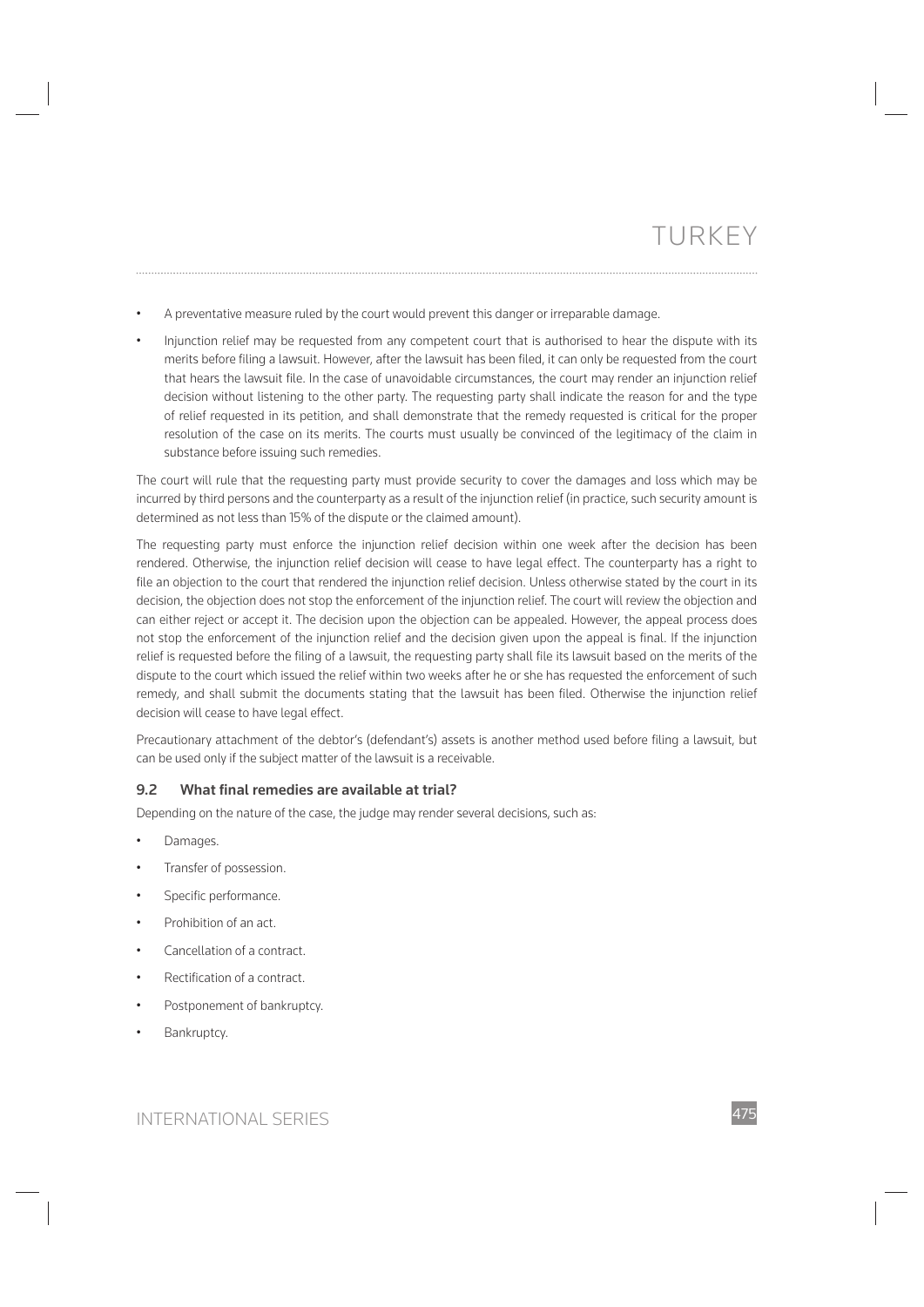• A preventative measure ruled by the court would prevent this danger or irreparable damage.

• Injunction relief may be requested from any competent court that is authorised to hear the dispute with its merits before filing a lawsuit. However, after the lawsuit has been filed, it can only be requested from the court that hears the lawsuit file. In the case of unavoidable circumstances, the court may render an injunction relief decision without listening to the other party. The requesting party shall indicate the reason for and the type of relief requested in its petition, and shall demonstrate that the remedy requested is critical for the proper resolution of the case on its merits. The courts must usually be convinced of the legitimacy of the claim in substance before issuing such remedies.

The court will rule that the requesting party must provide security to cover the damages and loss which may be incurred by third persons and the counterparty as a result of the injunction relief (in practice, such security amount is determined as not less than 15% of the dispute or the claimed amount).

The requesting party must enforce the injunction relief decision within one week after the decision has been rendered. Otherwise, the injunction relief decision will cease to have legal effect. The counterparty has a right to file an objection to the court that rendered the injunction relief decision. Unless otherwise stated by the court in its decision, the objection does not stop the enforcement of the injunction relief. The court will review the objection and can either reject or accept it. The decision upon the objection can be appealed. However, the appeal process does not stop the enforcement of the injunction relief and the decision given upon the appeal is final. If the injunction relief is requested before the filing of a lawsuit, the requesting party shall file its lawsuit based on the merits of the dispute to the court which issued the relief within two weeks after he or she has requested the enforcement of such remedy, and shall submit the documents stating that the lawsuit has been filed. Otherwise the injunction relief decision will cease to have legal effect.

Precautionary attachment of the debtor's (defendant's) assets is another method used before filing a lawsuit, but can be used only if the subject matter of the lawsuit is a receivable.

#### 9.2 What final remedies are available at trial?

Depending on the nature of the case, the judge may render several decisions, such as:

- Damages.
- Transfer of possession.
- Specific performance.
- Prohibition of an act.
- Cancellation of a contract.
- Rectification of a contract
- Postponement of bankruptcy.
- Bankruptcy.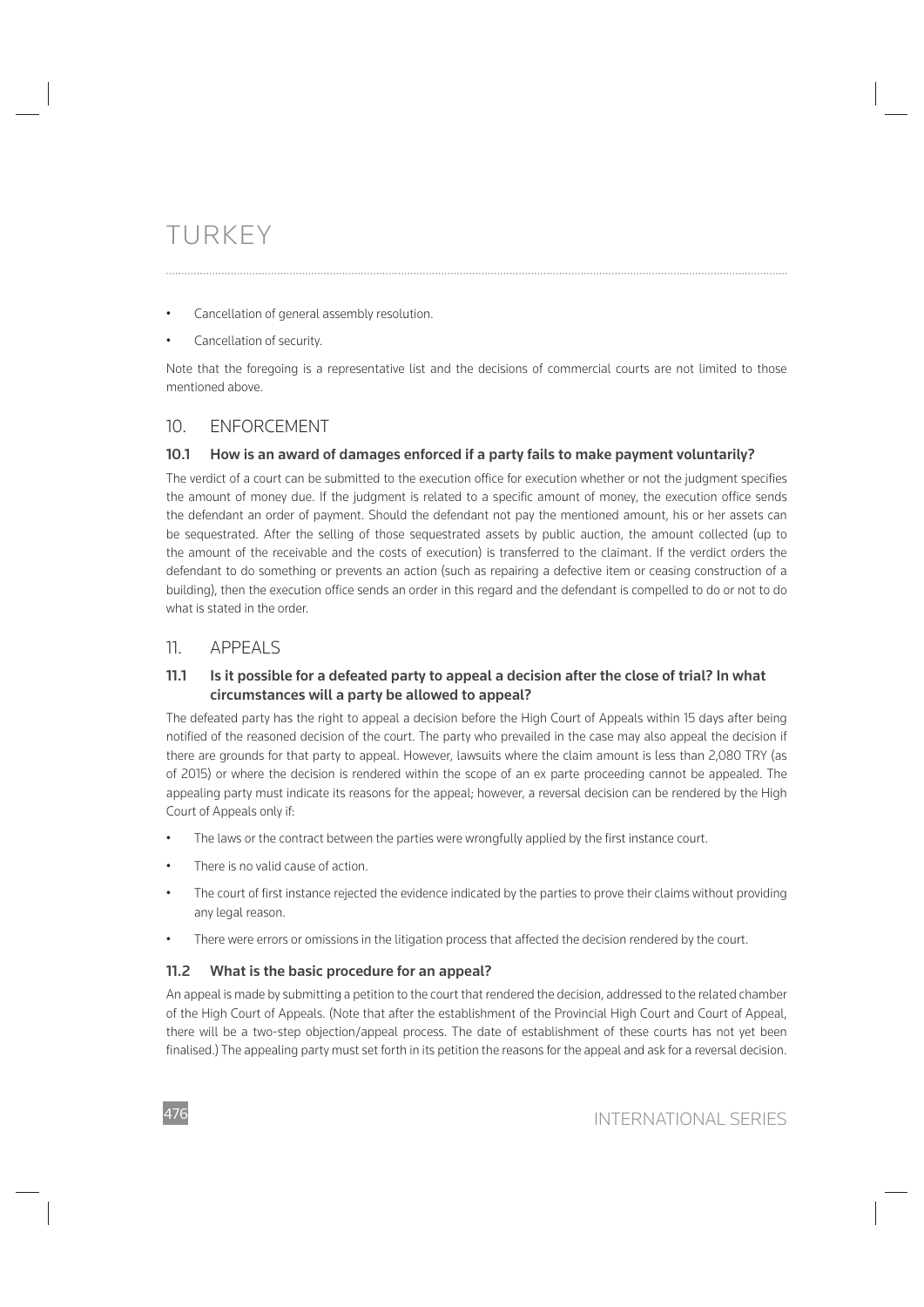- Cancellation of general assembly resolution.
- Cancellation of security.

Note that the foregoing is a representative list and the decisions of commercial courts are not limited to those mentioned above.

# 10. ENFORCEMENT

### **10.1 How is an award of damages enforced if a party fails to make payment voluntarily?**

The verdict of a court can be submitted to the execution office for execution whether or not the judgment specifies the amount of money due. If the judgment is related to a specific amount of money, the execution office sends the defendant an order of payment. Should the defendant not pay the mentioned amount, his or her assets can be sequestrated. After the selling of those sequestrated assets by public auction, the amount collected (up to the amount of the receivable and the costs of execution) is transferred to the claimant. If the verdict orders the defendant to do something or prevents an action (such as repairing a defective item or ceasing construction of a building), then the execution office sends an order in this regard and the defendant is compelled to do or not to do what is stated in the order.

# 11. APPEALS

### **11.1 Is it possible for a defeated party to appeal a decision after the close of trial? In what circumstances will a party be allowed to appeal?**

The defeated party has the right to appeal a decision before the High Court of Appeals within 15 days after being notified of the reasoned decision of the court. The party who prevailed in the case may also appeal the decision if there are grounds for that party to appeal. However, lawsuits where the claim amount is less than 2,080 TRY (as of 2015) or where the decision is rendered within the scope of an ex parte proceeding cannot be appealed. The appealing party must indicate its reasons for the appeal; however, a reversal decision can be rendered by the High Court of Appeals only if:

- The laws or the contract between the parties were wrongfully applied by the first instance court.
- There is no valid cause of action
- The court of first instance rejected the evidence indicated by the parties to prove their claims without providing any legal reason.
- There were errors or omissions in the litigation process that affected the decision rendered by the court.

# **11.2 What is the basic procedure for an appeal?**

An appeal is made by submitting a petition to the court that rendered the decision, addressed to the related chamber of the High Court of Appeals. (Note that after the establishment of the Provincial High Court and Court of Appeal, there will be a two-step objection/appeal process. The date of establishment of these courts has not yet been finalised.) The appealing party must set forth in its petition the reasons for the appeal and ask for a reversal decision.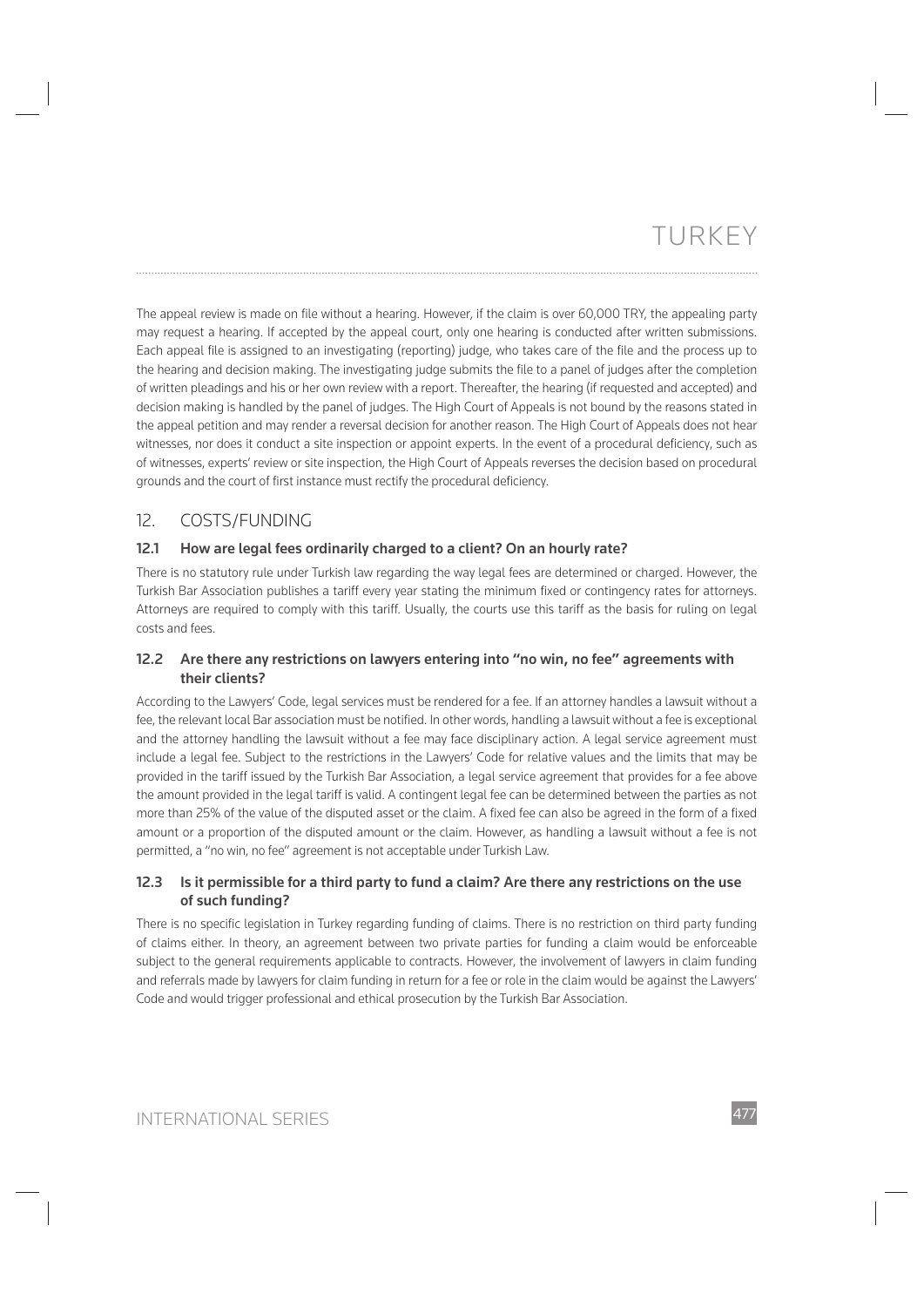The appeal review is made on file without a hearing. However, if the claim is over 60,000 TRY, the appealing party may request a hearing. If accepted by the appeal court, only one hearing is conducted after written submissions. Each appeal file is assigned to an investigating (reporting) judge, who takes care of the file and the process up to the hearing and decision making. The investigating judge submits the file to a panel of judges after the completion of written pleadings and his or her own review with a report. Thereafter, the hearing (if requested and accepted) and decision making is handled by the panel of judges. The High Court of Appeals is not bound by the reasons stated in the appeal petition and may render a reversal decision for another reason. The High Court of Appeals does not hear witnesses, nor does it conduct a site inspection or appoint experts. In the event of a procedural deficiency, such as of witnesses, experts' review or site inspection, the High Court of Appeals reverses the decision based on procedural grounds and the court of first instance must rectify the procedural deficiency.

# 12. COSTS/FUNDING

# **12.1 How are legal fees ordinarily charged to a client? On an hourly rate?**

There is no statutory rule under Turkish law regarding the way legal fees are determined or charged. However, the Turkish Bar Association publishes a tariff every year stating the minimum fixed or contingency rates for attorneys. Attorneys are required to comply with this tariff. Usually, the courts use this tariff as the basis for ruling on legal costs and fees.

# **12.2 Are there any restrictions on lawyers entering into "no win, no fee" agreements with their clients?**

According to the Lawyers' Code, legal services must be rendered for a fee. If an attorney handles a lawsuit without a fee, the relevant local Bar association must be notified. In other words, handling a lawsuit without a fee is exceptional and the attorney handling the lawsuit without a fee may face disciplinary action. A legal service agreement must include a legal fee. Subject to the restrictions in the Lawyers' Code for relative values and the limits that may be provided in the tariff issued by the Turkish Bar Association, a legal service agreement that provides for a fee above the amount provided in the legal tariff is valid. A contingent legal fee can be determined between the parties as not more than 25% of the value of the disputed asset or the claim. A fixed fee can also be agreed in the form of a fixed amount or a proportion of the disputed amount or the claim. However, as handling a lawsuit without a fee is not permitted, a "no win, no fee" agreement is not acceptable under Turkish Law.

# **12.3 Is it permissible for a third party to fund a claim? Are there any restrictions on the use of such funding?**

There is no specific legislation in Turkey regarding funding of claims. There is no restriction on third party funding of claims either. In theory, an agreement between two private parties for funding a claim would be enforceable subject to the general requirements applicable to contracts. However, the involvement of lawyers in claim funding and referrals made by lawyers for claim funding in return for a fee or role in the claim would be against the Lawyers' Code and would trigger professional and ethical prosecution by the Turkish Bar Association.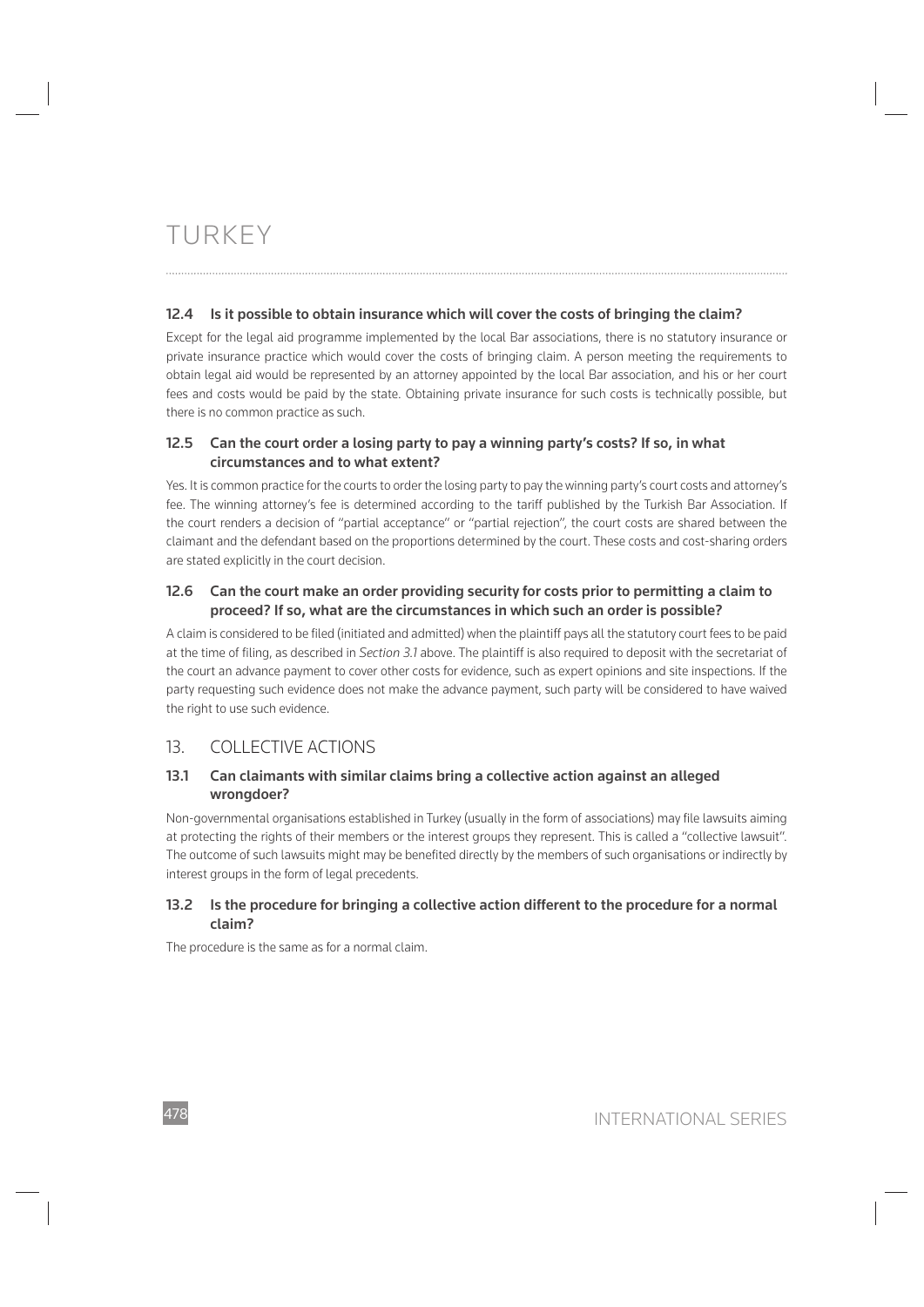### **12.4 Is it possible to obtain insurance which will cover the costs of bringing the claim?**

Except for the legal aid programme implemented by the local Bar associations, there is no statutory insurance or private insurance practice which would cover the costs of bringing claim. A person meeting the requirements to obtain legal aid would be represented by an attorney appointed by the local Bar association, and his or her court fees and costs would be paid by the state. Obtaining private insurance for such costs is technically possible, but there is no common practice as such.

## **12.5 Can the court order a losing party to pay a winning party's costs? If so, in what circumstances and to what extent?**

Yes. It is common practice for the courts to order the losing party to pay the winning party's court costs and attorney's fee. The winning attorney's fee is determined according to the tariff published by the Turkish Bar Association. If the court renders a decision of "partial acceptance" or "partial rejection", the court costs are shared between the claimant and the defendant based on the proportions determined by the court. These costs and cost-sharing orders are stated explicitly in the court decision.

## **12.6 Can the court make an order providing security for costs prior to permitting a claim to proceed? If so, what are the circumstances in which such an order is possible?**

A claim is considered to be filed (initiated and admitted) when the plaintiff pays all the statutory court fees to be paid at the time of filing, as described in *Section 3.1* above. The plaintiff is also required to deposit with the secretariat of the court an advance payment to cover other costs for evidence, such as expert opinions and site inspections. If the party requesting such evidence does not make the advance payment, such party will be considered to have waived the right to use such evidence.

# 13. COLLECTIVE ACTIONS

### **13.1 Can claimants with similar claims bring a collective action against an alleged wrongdoer?**

Non-governmental organisations established in Turkey (usually in the form of associations) may file lawsuits aiming at protecting the rights of their members or the interest groups they represent. This is called a "collective lawsuit". The outcome of such lawsuits might may be benefited directly by the members of such organisations or indirectly by interest groups in the form of legal precedents.

# **13.2 Is the procedure for bringing a collective action different to the procedure for a normal claim?**

The procedure is the same as for a normal claim.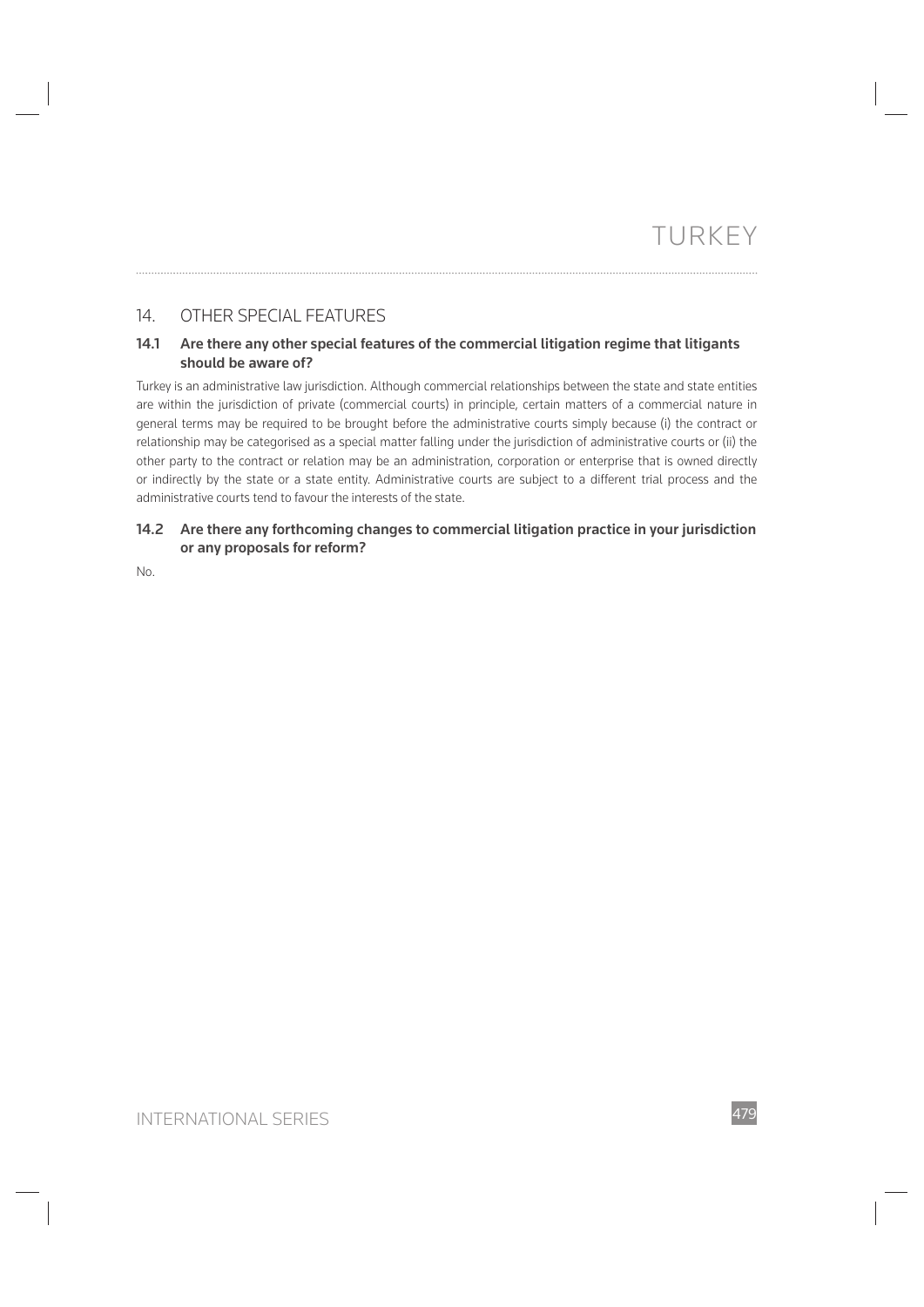# 14. OTHER SPECIAL FEATURES

## **14.1 Are there any other special features of the commercial litigation regime that litigants should be aware of?**

Turkey is an administrative law jurisdiction. Although commercial relationships between the state and state entities are within the jurisdiction of private (commercial courts) in principle, certain matters of a commercial nature in general terms may be required to be brought before the administrative courts simply because (i) the contract or relationship may be categorised as a special matter falling under the jurisdiction of administrative courts or (ii) the other party to the contract or relation may be an administration, corporation or enterprise that is owned directly or indirectly by the state or a state entity. Administrative courts are subject to a different trial process and the administrative courts tend to favour the interests of the state.

# **14.2 Are there any forthcoming changes to commercial litigation practice in your jurisdiction or any proposals for reform?**

No.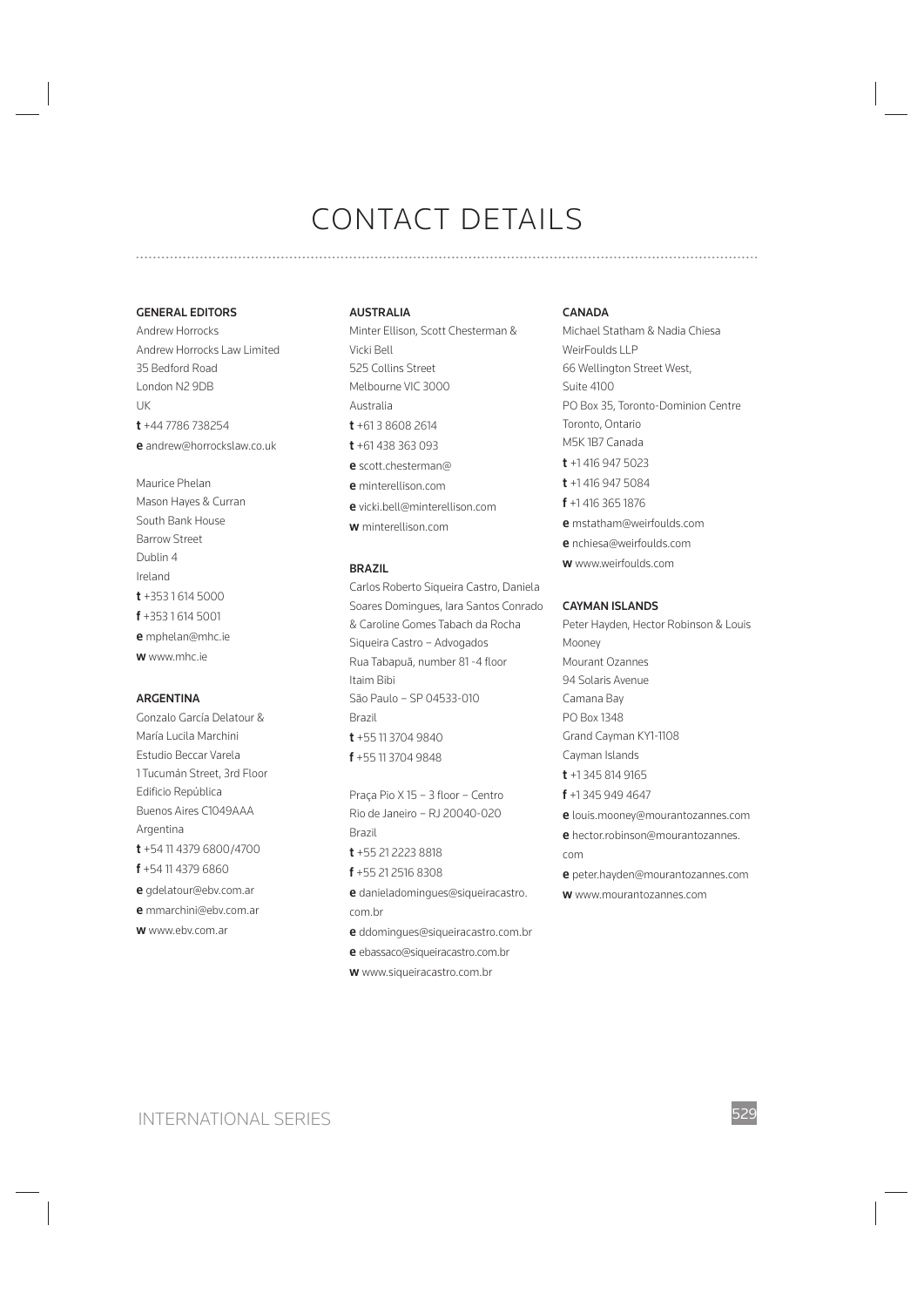#### **GENERAL EDITORS**

Andrew Horrocks Andrew Horrocks Law Limited 35 Bedford Road London N2 9DB UK **t** +44 7786 738254 **e** andrew@horrockslaw.co.uk

Maurice Phelan Mason Hayes & Curran South Bank House Barrow Street Dublin 4 Ireland **t** +353 1 614 5000 **f** +353 1 614 5001 **e** mphelan@mhc.ie **w** www.mhc.ie

#### **ARGENTINA**

Gonzalo García Delatour & María Lucila Marchini Estudio Beccar Varela 1 Tucumán Street, 3rd Floor Edificio República Buenos Aires C1049AAA Argentina **t** +54 11 4379 6800/4700 **f** +54 11 4379 6860 **e** gdelatour@ebv.com.ar **e** mmarchini@ebv.com.ar **w** www.ebv.com.ar

#### **AUSTRALIA**

Minter Ellison, Scott Chesterman & Vicki Bell 525 Collins Street Melbourne VIC 3000 Australia **t** +61 3 8608 2614 **t** +61 438 363 093 **e** scott.chesterman@ **e** minterellison.com **e** vicki.bell@minterellison.com **w** minterellison.com

#### **BRAZIL**

Carlos Roberto Siqueira Castro, Daniela Soares Domingues, Iara Santos Conrado & Caroline Gomes Tabach da Rocha Siqueira Castro – Advogados Rua Tabapuã, number 81 -4 floor Itaim Bibi São Paulo – SP 04533-010 Brazil **t** +55 11 3704 9840 **f** +55 11 3704 9848

Praça Pio X 15 - 3 floor - Centro Rio de Janeiro – RJ 20040-020 Brazil **t** +55 21 2223 8818 **f** +55 21 2516 8308 **e** danieladomingues@siqueiracastro. com.br **e** ddomingues@siqueiracastro.com.br

- **e** ebassaco@siqueiracastro.com.br
- **w** www.siqueiracastro.com.br

#### **CANADA**

Michael Statham & Nadia Chiesa WeirFoulds LLP 66 Wellington Street West, Suite 4100 PO Box 35, Toronto-Dominion Centre Toronto, Ontario M5K 1B7 Canada **t** +1 416 947 5023 **t** +1 416 947 5084 **f** +1 416 365 1876 **e** mstatham@weirfoulds.com **e** nchiesa@weirfoulds.com **w** www.weirfoulds.com

#### **CAYMAN ISLANDS**

Peter Hayden, Hector Robinson & Louis Mooney Mourant Ozannes 94 Solaris Avenue Camana Bay PO Box 1348 Grand Cayman KY1-1108 Cayman Islands **t** +1 345 814 9165 **f** +1 345 949 4647 **e** louis.mooney@mourantozannes.com **e** hector.robinson@mourantozannes. com **e** peter.hayden@mourantozannes.com **w** www.mourantozannes.com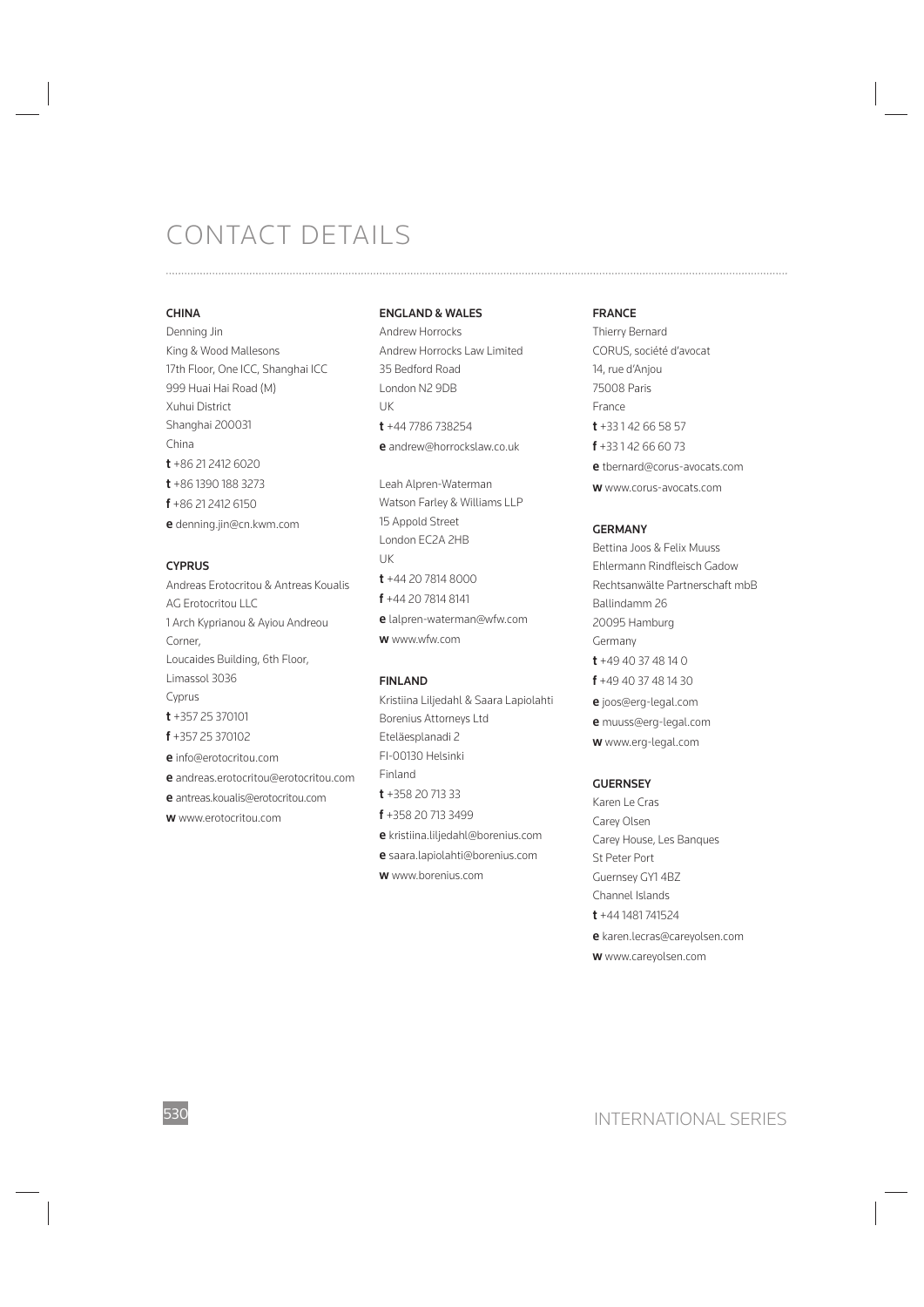#### **CHINA**

Denning Jin King & Wood Mallesons 17th Floor, One ICC, Shanghai ICC 999 Huai Hai Road (M) Xuhui District Shanghai 200031 China **t** +86 21 2412 6020 **t** +86 1390 188 3273 **f** +86 21 2412 6150 **e** denning.jin@cn.kwm.com

#### **CYPRUS**

Andreas Erotocritou & Antreas Koualis AG Erotocritou LLC 1 Arch Kyprianou & Ayiou Andreou Corner, Loucaides Building, 6th Floor, Limassol 3036 Cyprus **t** +357 25 370101 **f** +357 25 370102 **e** info@erotocritou.com **e** andreas.erotocritou@erotocritou.com **e** antreas.koualis@erotocritou.com **w** www.erotocritou.com

#### **ENGLAND & WALES**

Andrew Horrocks Andrew Horrocks Law Limited 35 Bedford Road London N2 9DB UK **t** +44 7786 738254 **e** andrew@horrockslaw.co.uk

Leah Alpren-Waterman Watson Farley & Williams LLP 15 Appold Street London EC2A 2HB UK **t** +44 20 7814 8000 **f** +44 20 7814 8141 **e** lalpren-waterman@wfw.com **w** www.wfw.com

#### **FINLAND**

Kristiina Liljedahl & Saara Lapiolahti Borenius Attorneys Ltd Eteläesplanadi 2 FI-00130 Helsinki Finland **t** +358 20 713 33 **f** +358 20 713 3499 **e** kristiina.liljedahl@borenius.com **e** saara.lapiolahti@borenius.com **w** www.borenius.com

#### **FRANCE**

Thierry Bernard CORUS, société d'avocat 14, rue d'Anjou 75008 Paris France **t** +33 1 42 66 58 57 **f** +33 1 42 66 60 73 **e** tbernard@corus-avocats.com **w** www.corus-avocats.com

#### **GERMANY**

Bettina Joos & Felix Muuss Ehlermann Rindfleisch Gadow Rechtsanwälte Partnerschaft mbB Ballindamm 26 20095 Hamburg Germany **t** +49 40 37 48 14 0 **f** +49 40 37 48 14 30 **e** joos@erg-legal.com **e** muuss@erg-legal.com **w** www.erg-legal.com

#### **GUERNSEY**

Karen Le Cras Carey Olsen Carey House, Les Banques St Peter Port Guernsey GY1 4BZ Channel Islands **t** +44 1481 741524 **e** karen.lecras@careyolsen.com **w** www.careyolsen.com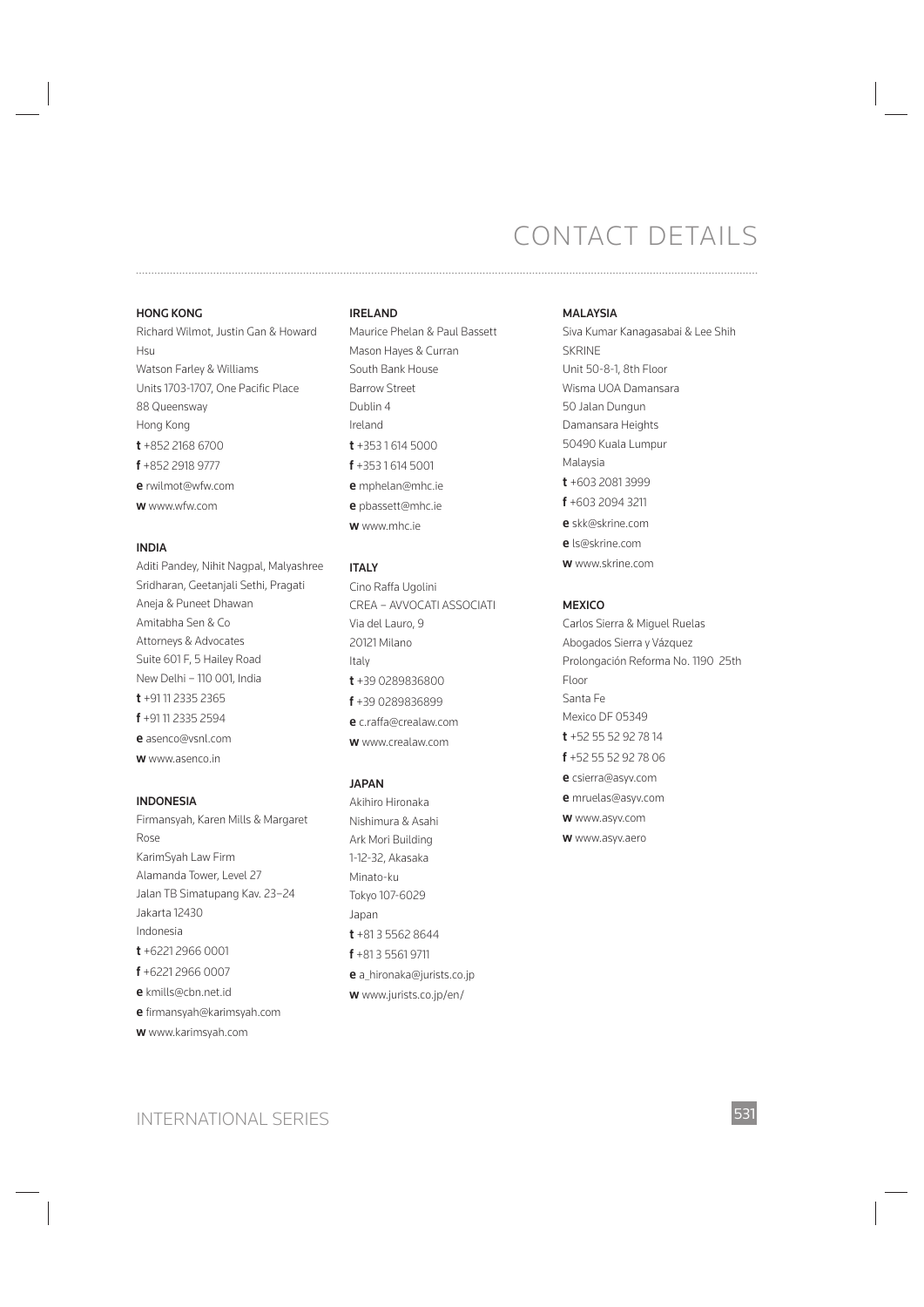#### **HONG KONG**

Richard Wilmot, Justin Gan & Howard Hsu Watson Farley & Williams Units 1703-1707, One Pacific Place 88 Queensway Hong Kong **t** +852 2168 6700 **f** +852 2918 9777 **e** rwilmot@wfw.com **w** www.wfw.com

#### **INDIA**

Aditi Pandey, Nihit Nagpal, Malyashree Sridharan, Geetanjali Sethi, Pragati Aneja & Puneet Dhawan Amitabha Sen & Co Attorneys & Advocates Suite 601 F, 5 Hailey Road New Delhi – 110 001, India **t** +91 11 2335 2365 **f** +91 11 2335 2594 **e** asenco@vsnl.com **w** www.asenco.in

#### **INDONESIA**

Firmansyah, Karen Mills & Margaret Rose KarimSyah Law Firm Alamanda Tower, Level 27 Jalan TB Simatupang Kav. 23–24 Jakarta 12430 Indonesia **t** +6221 2966 0001 **f** +6221 2966 0007 **e** kmills@cbn.net.id **e** firmansyah@karimsyah.com **w** www.karimsyah.com

#### **IRELAND**

Maurice Phelan & Paul Bassett Mason Hayes & Curran South Bank House Barrow Street Dublin 4 Ireland **t** +353 1 614 5000 **f** +353 1 614 5001 **e** mphelan@mhc.ie **e** pbassett@mhc.ie **w** www.mhc.ie

#### **ITALY**

Cino Raffa Ugolini CREA – AVVOCATI ASSOCIATI Via del Lauro, 9 20121 Milano Italy **t** +39 0289836800 **f** +39 0289836899 **e** c.raffa@crealaw.com **w** www.crealaw.com

#### **JAPAN**

Akihiro Hironaka Nishimura & Asahi Ark Mori Building 1-12-32, Akasaka Minato-ku Tokyo 107-6029 Japan **t** +81 3 5562 8644 **f** +81 3 5561 9711 **e** a\_hironaka@jurists.co.jp **w** www.jurists.co.jp/en/

#### **MALAYSIA**

Siva Kumar Kanagasabai & Lee Shih SKRINE Unit 50-8-1, 8th Floor Wisma UOA Damansara 50 Jalan Dungun Damansara Heights 50490 Kuala Lumpur Malaysia **t** +603 2081 3999 **f** +603 2094 3211 **e** skk@skrine.com **e** ls@skrine.com **w** www.skrine.com

#### **MEXICO**

Carlos Sierra & Miguel Ruelas Abogados Sierra y Vázquez Prolongación Reforma No. 1190 25th Floor Santa Fe Mexico DF 05349 **t** +52 55 52 92 78 14 **f** +52 55 52 92 78 06 **e** csierra@asyv.com **e** mruelas@asyv.com **w** www.asyv.com

**w** www.asyv.aero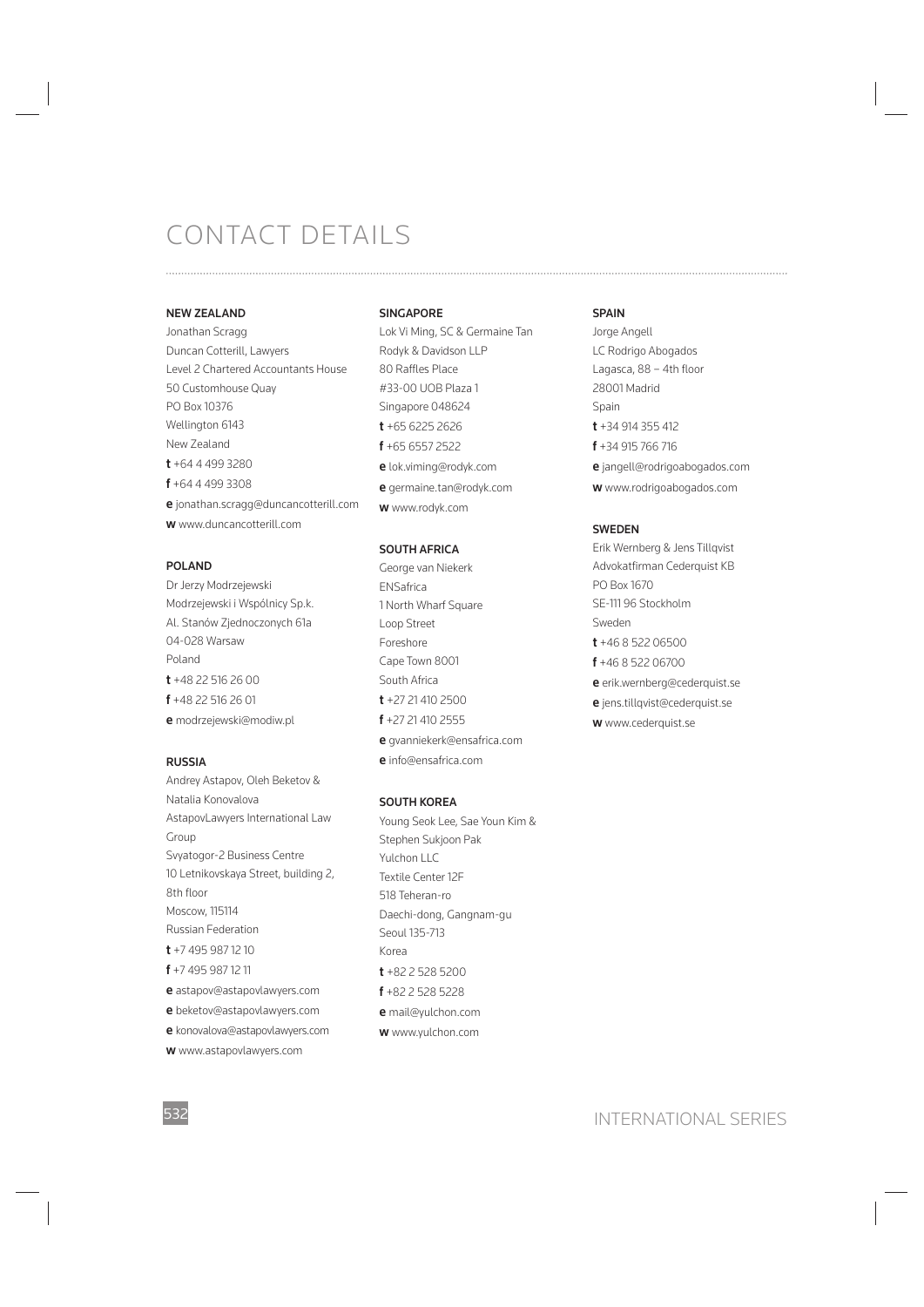#### **NEW ZEALAND**

Jonathan Scragg Duncan Cotterill, Lawyers Level 2 Chartered Accountants House 50 Customhouse Quay PO Box 10376 Wellington 6143 New Zealand **t** +64 4 499 3280 **f** +64 4 499 3308 **e** jonathan.scragg@duncancotterill.com **w** www.duncancotterill.com

#### **POLAND**

Dr Jerzy Modrzejewski Modrzejewski i Wspólnicy Sp.k. Al. Stanów Zjednoczonych 61a 04-028 Warsaw Poland **t** +48 22 516 26 00 **f** +48 22 516 26 01 **e** modrzejewski@modiw.pl

#### **RUSSIA**

Andrey Astapov, Oleh Beketov & Natalia Konovalova AstapovLawyers International Law Group Svyatogor-2 Business Centre 10 Letnikovskaya Street, building 2, 8th floor Moscow, 115114 Russian Federation **t** +7 495 987 12 10 **f** +7 495 987 12 11 **e** astapov@astapovlawyers.com **e** beketov@astapovlawyers.com **e** konovalova@astapovlawyers.com **w** www.astapovlawyers.com

#### **SINGAPORE**

Lok Vi Ming, SC & Germaine Tan Rodyk & Davidson LLP 80 Raffles Place #33-00 UOB Plaza 1 Singapore 048624 **t** +65 6225 2626 **f** +65 6557 2522 **e** lok.viming@rodyk.com **e** germaine.tan@rodyk.com **w** www.rodyk.com

#### **SOUTH AFRICA**

George van Niekerk ENSafrica 1 North Wharf Square Loop Street Foreshore Cape Town 8001 South Africa **t** +27 21 410 2500 **f** +27 21 410 2555 **e** gvanniekerk@ensafrica.com

**e** info@ensafrica.com

#### **SOUTH KOREA**

Young Seok Lee, Sae Youn Kim & Stephen Sukjoon Pak Yulchon LLC Textile Center 12F 518 Teheran-ro Daechi-dong, Gangnam-gu Seoul 135-713 Korea **t** +82 2 528 5200 **f** +82 2 528 5228 **e** mail@yulchon.com **w** www.yulchon.com

#### **SPAIN**

Jorge Angell LC Rodrigo Abogados Lagasca, 88 - 4th floor 28001 Madrid Spain **t** +34 914 355 412 **f** +34 915 766 716 **e** jangell@rodrigoabogados.com **w** www.rodrigoabogados.com

#### **SWEDEN**

Erik Wernberg & Jens Tillqvist Advokatfirman Cederquist KB PO Box 1670 SE-111 96 Stockholm Sweden **t** +46 8 522 06500 **f** +46 8 522 06700 **e** erik.wernberg@cederquist.se **e** jens.tillqvist@cederquist.se **w** www.cederquist.se